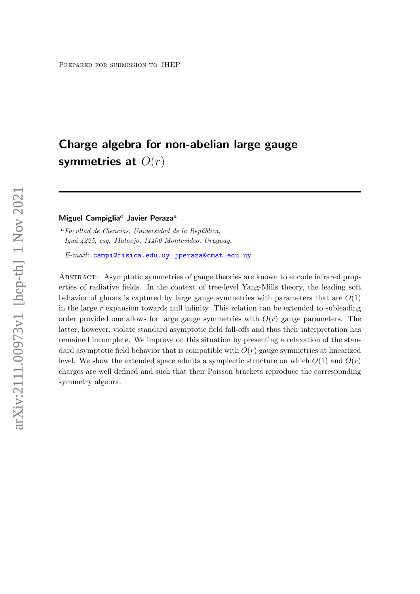# Charge algebra for non-abelian large gauge symmetries at  $O(r)$

#### Miguel Campiglia<sup>a</sup> Javier Peraza<sup>a</sup>

 $a$ Facultad de Ciencias, Universidad de la República, Iguá 4225, esq. Mataojo, 11400 Montevideo, Uruguay.

 $E-mail:$  [campi@fisica.edu.uy](mailto:campi@fisica.edu.uy), [jperaza@cmat.edu.uy](mailto:jperaza@cmat.edu.uy)

Abstract: Asymptotic symmetries of gauge theories are known to encode infrared properties of radiative fields. In the context of tree-level Yang-Mills theory, the leading soft behavior of gluons is captured by large gauge symmetries with parameters that are  $O(1)$ in the large r expansion towards null infinity. This relation can be extended to subleading order provided one allows for large gauge symmetries with  $O(r)$  gauge parameters. The latter, however, violate standard asymptotic field fall-offs and thus their interpretation has remained incomplete. We improve on this situation by presenting a relaxation of the standard asymptotic field behavior that is compatible with  $O(r)$  gauge symmetries at linearized level. We show the extended space admits a symplectic structure on which  $O(1)$  and  $O(r)$ charges are well defined and such that their Poisson brackets reproduce the corresponding symmetry algebra.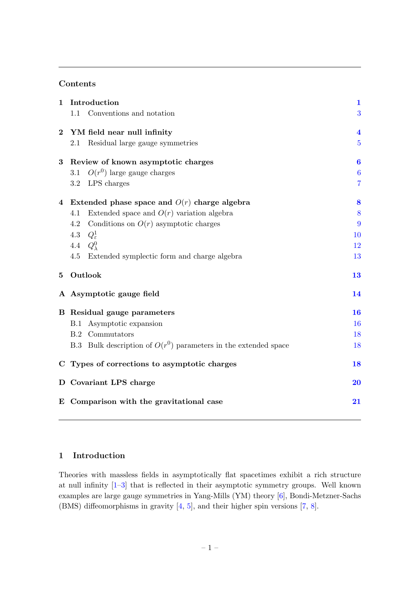# Contents

| $\mathbf{1}$   | Introduction                                                      | $\mathbf{1}$            |
|----------------|-------------------------------------------------------------------|-------------------------|
|                | Conventions and notation<br>1.1                                   | 3                       |
| $\bf{2}$       | YM field near null infinity                                       | $\overline{\mathbf{4}}$ |
|                | Residual large gauge symmetries<br>2.1                            | $\overline{5}$          |
| 3              | Review of known asymptotic charges                                | 6                       |
|                | $O(r^0)$ large gauge charges<br>3.1                               | $\boldsymbol{6}$        |
|                | LPS charges<br>3.2                                                | $\overline{7}$          |
| $\overline{4}$ | Extended phase space and $O(r)$ charge algebra                    | 8                       |
|                | Extended space and $O(r)$ variation algebra<br>4.1                | 8                       |
|                | Conditions on $O(r)$ asymptotic charges<br>4.2                    | 9                       |
|                | $Q^1_{\varepsilon}$<br>4.3                                        | 10                      |
|                | $Q_{\lambda}^0$<br>4.4                                            | 12                      |
|                | 4.5<br>Extended symplectic form and charge algebra                | 13                      |
| $\bf{5}$       | Outlook                                                           | 13                      |
|                | A Asymptotic gauge field                                          | 14                      |
|                | <b>B</b> Residual gauge parameters                                | <b>16</b>               |
|                | Asymptotic expansion<br>B.1                                       | <b>16</b>               |
|                | <b>B.2</b> Commutators                                            | 18                      |
|                | B.3 Bulk description of $O(r^0)$ parameters in the extended space | 18                      |
| $\mathbf C$    | Types of corrections to asymptotic charges                        | 18                      |
|                | D Covariant LPS charge                                            | 20                      |
|                | E Comparison with the gravitational case                          | 21                      |

# <span id="page-1-0"></span>1 Introduction

Theories with massless fields in asymptotically flat spacetimes exhibit a rich structure at null infinity [\[1](#page-24-0)[–3\]](#page-24-1) that is reflected in their asymptotic symmetry groups. Well known examples are large gauge symmetries in Yang-Mills (YM) theory [\[6\]](#page-24-2), Bondi-Metzner-Sachs (BMS) diffeomorphisms in gravity [\[4,](#page-24-3) [5\]](#page-24-4), and their higher spin versions [\[7,](#page-24-5) [8\]](#page-24-6).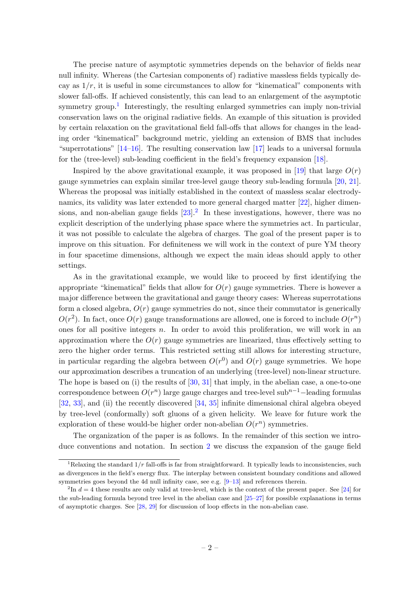The precise nature of asymptotic symmetries depends on the behavior of fields near null infinity. Whereas (the Cartesian components of) radiative massless fields typically decay as  $1/r$ , it is useful in some circumstances to allow for "kinematical" components with slower fall-offs. If achieved consistently, this can lead to an enlargement of the asymptotic symmetry group.<sup>[1](#page-2-0)</sup> Interestingly, the resulting enlarged symmetries can imply non-trivial conservation laws on the original radiative fields. An example of this situation is provided by certain relaxation on the gravitational field fall-offs that allows for changes in the leading order "kinematical" background metric, yielding an extension of BMS that includes "superrotations" [\[14–](#page-25-0)[16\]](#page-25-1). The resulting conservation law [\[17\]](#page-25-2) leads to a universal formula for the (tree-level) sub-leading coefficient in the field's frequency expansion [\[18\]](#page-25-3).

Inspired by the above gravitational example, it was proposed in [\[19\]](#page-25-4) that large  $O(r)$ gauge symmetries can explain similar tree-level gauge theory sub-leading formula [\[20,](#page-25-5) [21\]](#page-25-6). Whereas the proposal was initially established in the context of massless scalar electrodynamics, its validity was later extended to more general charged matter [\[22\]](#page-25-7), higher dimensions, and non-abelian gauge fields  $[23]$  $[23]$  $[23]$ .<sup>2</sup> In these investigations, however, there was no explicit description of the underlying phase space where the symmetries act. In particular, it was not possible to calculate the algebra of charges. The goal of the present paper is to improve on this situation. For definiteness we will work in the context of pure YM theory in four spacetime dimensions, although we expect the main ideas should apply to other settings.

As in the gravitational example, we would like to proceed by first identifying the appropriate "kinematical" fields that allow for  $O(r)$  gauge symmetries. There is however a major difference between the gravitational and gauge theory cases: Whereas superrotations form a closed algebra,  $O(r)$  gauge symmetries do not, since their commutator is generically  $O(r^2)$ . In fact, once  $O(r)$  gauge transformations are allowed, one is forced to include  $O(r^n)$ ones for all positive integers n. In order to avoid this proliferation, we will work in an approximation where the  $O(r)$  gauge symmetries are linearized, thus effectively setting to zero the higher order terms. This restricted setting still allows for interesting structure, in particular regarding the algebra between  $O(r^0)$  and  $O(r)$  gauge symmetries. We hope our approximation describes a truncation of an underlying (tree-level) non-linear structure. The hope is based on (i) the results of  $[30, 31]$  $[30, 31]$  that imply, in the abelian case, a one-to-one correspondence between  $O(r^n)$  large gauge charges and tree-level sub<sup>n–1</sup>–leading formulas [\[32,](#page-26-2) [33\]](#page-26-3), and (ii) the recently discovered [\[34,](#page-26-4) [35\]](#page-26-5) infinite dimensional chiral algebra obeyed by tree-level (conformally) soft gluons of a given helicity. We leave for future work the exploration of these would-be higher order non-abelian  $O(r^n)$  symmetries.

The organization of the paper is as follows. In the remainder of this section we introduce conventions and notation. In section [2](#page-4-0) we discuss the expansion of the gauge field

<span id="page-2-0"></span><sup>&</sup>lt;sup>1</sup>Relaxing the standard  $1/r$  fall-offs is far from straightforward. It typically leads to inconsistencies, such as divergences in the field's energy flux. The interplay between consistent boundary conditions and allowed symmetries goes beyond the 4d null infinity case, see e.g.  $[9-13]$  $[9-13]$  and references therein.

<span id="page-2-1"></span> $^{2}$ In  $d = 4$  these results are only valid at tree-level, which is the context of the present paper. See [\[24\]](#page-25-11) for the sub-leading formula beyond tree level in the abelian case and [\[25–](#page-25-12)[27\]](#page-25-13) for possible explanations in terms of asymptotic charges. See [\[28,](#page-25-14) [29\]](#page-26-6) for discussion of loop effects in the non-abelian case.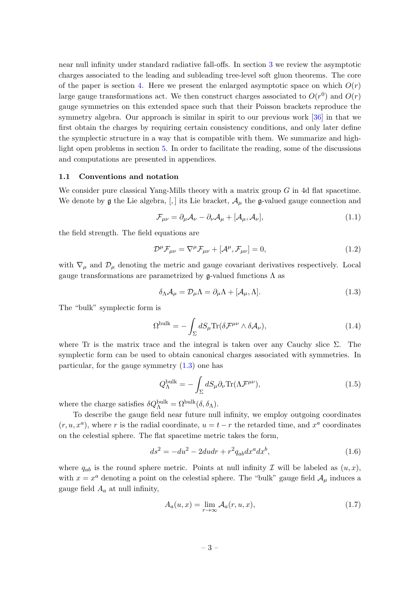near null infinity under standard radiative fall-offs. In section [3](#page-6-0) we review the asymptotic charges associated to the leading and subleading tree-level soft gluon theorems. The core of the paper is section [4.](#page-8-0) Here we present the enlarged asymptotic space on which  $O(r)$ large gauge transformations act. We then construct charges associated to  $O(r^0)$  and  $O(r)$ gauge symmetries on this extended space such that their Poisson brackets reproduce the symmetry algebra. Our approach is similar in spirit to our previous work [\[36\]](#page-26-7) in that we first obtain the charges by requiring certain consistency conditions, and only later define the symplectic structure in a way that is compatible with them. We summarize and highlight open problems in section [5.](#page-13-1) In order to facilitate the reading, some of the discussions and computations are presented in appendices.

#### <span id="page-3-0"></span>1.1 Conventions and notation

We consider pure classical Yang-Mills theory with a matrix group  $G$  in 4d flat spacetime. We denote by  $\mathfrak g$  the Lie algebra, [,] its Lie bracket,  $\mathcal A_\mu$  the  $\mathfrak g$ -valued gauge connection and

<span id="page-3-3"></span>
$$
\mathcal{F}_{\mu\nu} = \partial_{\mu}\mathcal{A}_{\nu} - \partial_{\nu}\mathcal{A}_{\mu} + [\mathcal{A}_{\mu}, \mathcal{A}_{\nu}], \tag{1.1}
$$

the field strength. The field equations are

<span id="page-3-5"></span>
$$
\mathcal{D}^{\mu}\mathcal{F}_{\mu\nu} = \nabla^{\mu}\mathcal{F}_{\mu\nu} + [\mathcal{A}^{\mu}, \mathcal{F}_{\mu\nu}] = 0, \qquad (1.2)
$$

with  $\nabla_{\mu}$  and  $\mathcal{D}_{\mu}$  denoting the metric and gauge covariant derivatives respectively. Local gauge transformations are parametrized by  $\mathfrak g$ -valued functions  $\Lambda$  as

<span id="page-3-1"></span>
$$
\delta_{\Lambda} \mathcal{A}_{\mu} = \mathcal{D}_{\mu} \Lambda = \partial_{\mu} \Lambda + [\mathcal{A}_{\mu}, \Lambda]. \tag{1.3}
$$

The "bulk" symplectic form is

<span id="page-3-2"></span>
$$
\Omega^{\text{bulk}} = -\int_{\Sigma} dS_{\mu} \text{Tr}(\delta \mathcal{F}^{\mu\nu} \wedge \delta \mathcal{A}_{\nu}), \qquad (1.4)
$$

where Tr is the matrix trace and the integral is taken over any Cauchy slice  $\Sigma$ . The symplectic form can be used to obtain canonical charges associated with symmetries. In particular, for the gauge symmetry  $(1.3)$  one has

<span id="page-3-4"></span>
$$
Q_{\Lambda}^{\text{bulk}} = -\int_{\Sigma} dS_{\mu} \partial_{\nu} \text{Tr}(\Lambda \mathcal{F}^{\mu \nu}), \qquad (1.5)
$$

where the charge satisfies  $\delta Q_{\Lambda}^{\text{bulk}} = \Omega^{\text{bulk}}(\delta, \delta_{\Lambda}).$ 

To describe the gauge field near future null infinity, we employ outgoing coordinates  $(r, u, x^a)$ , where r is the radial coordinate,  $u = t - r$  the retarded time, and  $x^a$  coordinates on the celestial sphere. The flat spacetime metric takes the form,

$$
ds^{2} = -du^{2} - 2dudr + r^{2}q_{ab}dx^{a}dx^{b},
$$
\n(1.6)

where  $q_{ab}$  is the round sphere metric. Points at null infinity  $\mathcal I$  will be labeled as  $(u, x)$ , with  $x = x^a$  denoting a point on the celestial sphere. The "bulk" gauge field  $\mathcal{A}_{\mu}$  induces a gauge field  $A_a$  at null infinity,

$$
A_a(u,x) = \lim_{r \to \infty} \mathcal{A}_a(r,u,x), \tag{1.7}
$$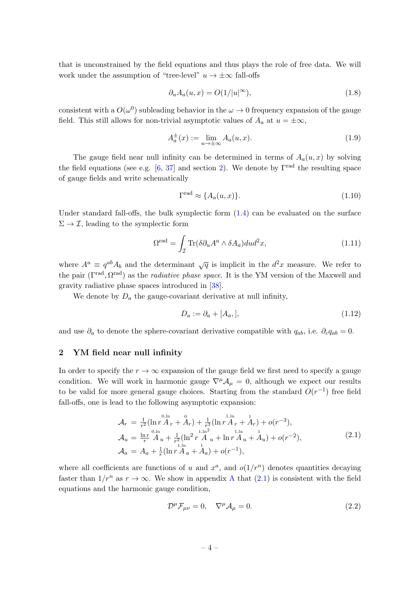that is unconstrained by the field equations and thus plays the role of free data. We will work under the assumption of "tree-level"  $u \to \pm \infty$  fall-offs

<span id="page-4-4"></span>
$$
\partial_u A_a(u, x) = O(1/|u|^\infty),\tag{1.8}
$$

consistent with a  $O(\omega^0)$  subleading behavior in the  $\omega \to 0$  frequency expansion of the gauge field. This still allows for non-trivial asymptotic values of  $A_a$  at  $u = \pm \infty$ ,

$$
A_a^{\pm}(x) := \lim_{u \to \pm \infty} A_a(u, x). \tag{1.9}
$$

The gauge field near null infinity can be determined in terms of  $A_a(u, x)$  by solving the field equations (see e.g. [\[6,](#page-24-2) [37\]](#page-26-8) and section [2\)](#page-4-0). We denote by  $\Gamma^{\text{rad}}$  the resulting space of gauge fields and write schematically

$$
\Gamma^{\text{rad}} \approx \{A_a(u, x)\}.\tag{1.10}
$$

Under standard fall-offs, the bulk symplectic form  $(1.4)$  can be evaluated on the surface  $\Sigma \to \mathcal{I}$ , leading to the symplectic form

<span id="page-4-3"></span>
$$
\Omega^{\text{rad}} = \int_{\mathcal{I}} \text{Tr}(\delta \partial_u A^a \wedge \delta A_a) du d^2 x,\tag{1.11}
$$

where  $A^a \equiv q^{ab} A_b$  and the determinant  $\sqrt{q}$  is implicit in the  $d^2x$  measure. We refer to the pair  $(\Gamma^{\text{rad}}, \Omega^{\text{rad}})$  as the *radiative phase space*. It is the YM version of the Maxwell and gravity radiative phase spaces introduced in [\[38\]](#page-26-9).

We denote by  $D_a$  the gauge-covariant derivative at null infinity,

$$
D_a := \partial_a + [A_a,],\tag{1.12}
$$

and use  $\partial_a$  to denote the sphere-covariant derivative compatible with  $q_{ab}$ , i.e.  $\partial_c q_{ab} = 0$ .

## <span id="page-4-0"></span>2 YM field near null infinity

In order to specify the  $r \to \infty$  expansion of the gauge field we first need to specify a gauge condition. We will work in harmonic gauge  $\nabla^{\mu} A_{\mu} = 0$ , although we expect our results to be valid for more general gauge choices. Starting from the standard  $O(r^{-1})$  free field fall-offs, one is lead to the following asymptotic expansion:

<span id="page-4-1"></span>
$$
\mathcal{A}_{r} = \frac{1}{r^{2}} (\ln r \mathring{A}_{r} + \mathring{A}_{r}) + \frac{1}{r^{3}} (\ln r \mathring{A}_{r} + \mathring{A}_{r}) + o(r^{-3}),
$$
\n
$$
\mathcal{A}_{u} = \frac{\ln r}{r} \mathring{A}_{u} + \frac{1}{r^{2}} (\ln^{2} r \mathring{A}_{u} + \ln r \mathring{A}_{u} + \mathring{A}_{u}) + o(r^{-2}),
$$
\n
$$
\mathcal{A}_{a} = A_{a} + \frac{1}{r} (\ln r \mathring{A}_{a} + \mathring{A}_{a}) + o(r^{-1}),
$$
\n(2.1)

where all coefficients are functions of u and  $x^a$ , and  $o(1/r^n)$  denotes quantities decaying faster than  $1/r^n$  as  $r \to \infty$ . We show in appendix [A](#page-14-0) that  $(2.1)$  is consistent with the field equations and the harmonic gauge condition,

<span id="page-4-2"></span>
$$
\mathcal{D}^{\mu}\mathcal{F}_{\mu\nu} = 0, \quad \nabla^{\mu}\mathcal{A}_{\mu} = 0. \tag{2.2}
$$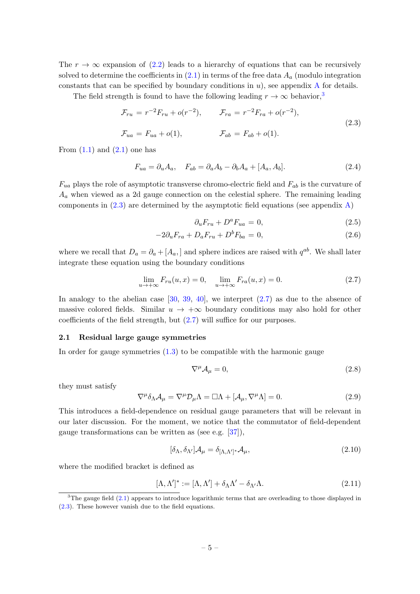The  $r \to \infty$  expansion of [\(2.2\)](#page-4-2) leads to a hierarchy of equations that can be recursively solved to determine the coefficients in  $(2.1)$  in terms of the free data  $A_a$  (modulo integration constants that can be specified by boundary conditions in  $u$ ), see appendix [A](#page-14-0) for details.

The field strength is found to have the following leading  $r \to \infty$  behavior,<sup>[3](#page-5-1)</sup>

<span id="page-5-2"></span>
$$
\mathcal{F}_{ru} = r^{-2} F_{ru} + o(r^{-2}), \qquad \mathcal{F}_{ra} = r^{-2} F_{ra} + o(r^{-2}),
$$
  
\n
$$
\mathcal{F}_{ua} = F_{ua} + o(1), \qquad \mathcal{F}_{ab} = F_{ab} + o(1).
$$
\n(2.3)

From  $(1.1)$  and  $(2.1)$  one has

$$
F_{ua} = \partial_u A_a, \quad F_{ab} = \partial_a A_b - \partial_b A_a + [A_a, A_b]. \tag{2.4}
$$

 $F_{ua}$  plays the role of asymptotic transverse chromo-electric field and  $F_{ab}$  is the curvature of  $A_a$  when viewed as a 2d gauge connection on the celestial sphere. The remaining leading components in  $(2.3)$  are determined by the asymptotic field equations (see appendix [A\)](#page-14-0)

<span id="page-5-6"></span>
$$
\partial_u F_{ru} + D^a F_{ua} = 0,\t\t(2.5)
$$

$$
-2\partial_u F_{ra} + D_a F_{ru} + D^b F_{ba} = 0, \qquad (2.6)
$$

where we recall that  $D_a = \partial_a + [A_a]$  and sphere indices are raised with  $q^{ab}$ . We shall later integrate these equation using the boundary conditions

<span id="page-5-3"></span>
$$
\lim_{u \to +\infty} F_{ru}(u, x) = 0, \quad \lim_{u \to +\infty} F_{ra}(u, x) = 0.
$$
 (2.7)

In analogy to the abelian case  $[30, 39, 40]$  $[30, 39, 40]$  $[30, 39, 40]$  $[30, 39, 40]$ , we interpret  $(2.7)$  as due to the absence of massive colored fields. Similar  $u \to +\infty$  boundary conditions may also hold for other coefficients of the field strength, but [\(2.7\)](#page-5-3) will suffice for our purposes.

#### <span id="page-5-0"></span>2.1 Residual large gauge symmetries

In order for gauge symmetries  $(1.3)$  to be compatible with the harmonic gauge

$$
\nabla^{\mu} \mathcal{A}_{\mu} = 0, \tag{2.8}
$$

they must satisfy

<span id="page-5-4"></span>
$$
\nabla^{\mu}\delta_{\Lambda}\mathcal{A}_{\mu} = \nabla^{\mu}\mathcal{D}_{\mu}\Lambda = \Box\Lambda + [\mathcal{A}_{\mu}, \nabla^{\mu}\Lambda] = 0. \tag{2.9}
$$

This introduces a field-dependence on residual gauge parameters that will be relevant in our later discussion. For the moment, we notice that the commutator of field-dependent gauge transformations can be written as (see e.g. [\[37\]](#page-26-8)),

$$
[\delta_{\Lambda}, \delta_{\Lambda'}] \mathcal{A}_{\mu} = \delta_{[\Lambda, \Lambda']^*} \mathcal{A}_{\mu}, \tag{2.10}
$$

where the modified bracket is defined as

<span id="page-5-5"></span>
$$
[\Lambda, \Lambda']^* := [\Lambda, \Lambda'] + \delta_{\Lambda} \Lambda' - \delta_{\Lambda'} \Lambda.
$$
\n(2.11)

<span id="page-5-1"></span><sup>&</sup>lt;sup>3</sup>The gauge field  $(2.1)$  appears to introduce logarithmic terms that are overleading to those displayed in [\(2.3\)](#page-5-2). These however vanish due to the field equations.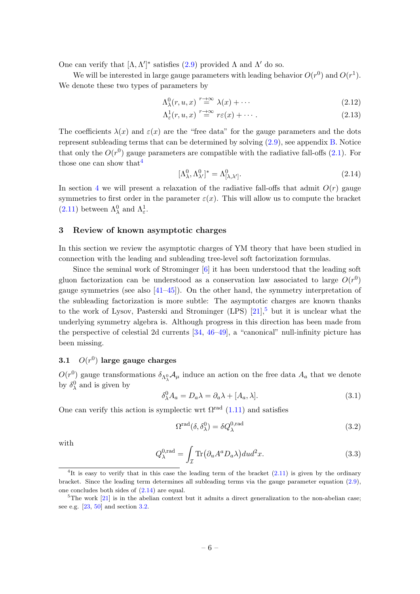One can verify that  $[\Lambda, \Lambda']^*$  satisfies [\(2.9\)](#page-5-4) provided  $\Lambda$  and  $\Lambda'$  do so.

We will be interested in large gauge parameters with leading behavior  $O(r^0)$  and  $O(r^1)$ . We denote these two types of parameters by

<span id="page-6-6"></span>
$$
\Lambda^0_\lambda(r, u, x) \stackrel{r \to \infty}{=} \lambda(x) + \cdots \tag{2.12}
$$

$$
\Lambda_{\varepsilon}^{1}(r, u, x) \stackrel{r \to \infty}{=} r\varepsilon(x) + \cdots. \tag{2.13}
$$

The coefficients  $\lambda(x)$  and  $\varepsilon(x)$  are the "free data" for the gauge parameters and the dots represent subleading terms that can be determined by solving  $(2.9)$ , see appendix [B.](#page-16-0) Notice that only the  $O(r^0)$  gauge parameters are compatible with the radiative fall-offs [\(2.1\)](#page-4-1). For those one can show that  $4$ 

<span id="page-6-4"></span>
$$
[\Lambda^0_{\lambda}, \Lambda^0_{\lambda'}]^* = \Lambda^0_{[\lambda, \lambda']}.
$$
\n(2.14)

In section [4](#page-8-0) we will present a relaxation of the radiative fall-offs that admit  $O(r)$  gauge symmetries to first order in the parameter  $\varepsilon(x)$ . This will allow us to compute the bracket [\(2.11\)](#page-5-5) between  $\Lambda_{\lambda}^{0}$  and  $\Lambda_{\varepsilon}^{1}$ .

# <span id="page-6-0"></span>3 Review of known asymptotic charges

In this section we review the asymptotic charges of YM theory that have been studied in connection with the leading and subleading tree-level soft factorization formulas.

Since the seminal work of Strominger [\[6\]](#page-24-2) it has been understood that the leading soft gluon factorization can be understood as a conservation law associated to large  $O(r^0)$ gauge symmetries (see also  $[41-45]$ ). On the other hand, the symmetry interpretation of the subleading factorization is more subtle: The asymptotic charges are known thanks to the work of Lysov, Pasterski and Strominger (LPS)  $[21]$ , but it is unclear what the underlying symmetry algebra is. Although progress in this direction has been made from the perspective of celestial 2d currents [\[34,](#page-26-4) [46–](#page-26-14)[49\]](#page-27-0), a "canonical" null-infinity picture has been missing.

# <span id="page-6-1"></span> $3.1$   $O(r^0)$  large gauge charges

 $O(r^0)$  gauge transformations  $\delta_{\Lambda^0_\lambda} A_\mu$  induce an action on the free data  $A_a$  that we denote by  $\delta_{\lambda}^{0}$  and is given by

$$
\delta^0_\lambda A_a = D_a \lambda = \partial_a \lambda + [A_a, \lambda]. \tag{3.1}
$$

One can verify this action is symplectic wrt  $\Omega^{\text{rad}}$  [\(1.11\)](#page-4-3) and satisfies

$$
\Omega^{\text{rad}}(\delta, \delta_{\lambda}^{0}) = \delta Q_{\lambda}^{0, \text{rad}} \tag{3.2}
$$

with

<span id="page-6-5"></span>
$$
Q_{\lambda}^{0,\text{rad}} = \int_{\mathcal{I}} \text{Tr}(\partial_u A^a D_a \lambda) du d^2 x. \tag{3.3}
$$

<span id="page-6-2"></span><sup>&</sup>lt;sup>4</sup>It is easy to verify that in this case the leading term of the bracket [\(2.11\)](#page-5-5) is given by the ordinary bracket. Since the leading term determines all subleading terms via the gauge parameter equation [\(2.9\)](#page-5-4), one concludes both sides of [\(2.14\)](#page-6-4) are equal.

<span id="page-6-3"></span> $5$ The work  $[21]$  is in the abelian context but it admits a direct generalization to the non-abelian case; see e.g. [\[23,](#page-25-8) [50\]](#page-27-1) and section [3.2.](#page-7-0)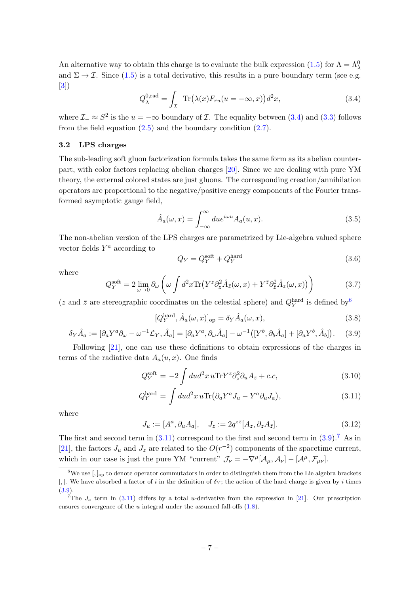An alternative way to obtain this charge is to evaluate the bulk expression [\(1.5\)](#page-3-4) for  $\Lambda = \Lambda^0_{\lambda}$ and  $\Sigma \to \mathcal{I}$ . Since [\(1.5\)](#page-3-4) is a total derivative, this results in a pure boundary term (see e.g. [\[3\]](#page-24-1))

<span id="page-7-1"></span>
$$
Q_{\lambda}^{0,\text{rad}} = \int_{\mathcal{I}_{-}} \text{Tr}(\lambda(x) F_{ru}(u = -\infty, x)) d^{2}x, \qquad (3.4)
$$

where  $\mathcal{I} \simeq S^2$  is the  $u = -\infty$  boundary of  $\mathcal{I}$ . The equality between  $(3.4)$  and  $(3.3)$  follows from the field equation  $(2.5)$  and the boundary condition  $(2.7)$ .

#### <span id="page-7-0"></span>3.2 LPS charges

The sub-leading soft gluon factorization formula takes the same form as its abelian counterpart, with color factors replacing abelian charges [\[20\]](#page-25-5). Since we are dealing with pure YM theory, the external colored states are just gluons. The corresponding creation/annihilation operators are proportional to the negative/positive energy components of the Fourier transformed asymptotic gauge field,

$$
\hat{A}_a(\omega, x) = \int_{-\infty}^{\infty} du e^{i\omega u} A_a(u, x).
$$
\n(3.5)

The non-abelian version of the LPS charges are parametrized by Lie-algebra valued sphere vector fields  $Y^a$  according to

$$
Q_Y = Q_Y^{\text{soft}} + Q_Y^{\text{hard}} \tag{3.6}
$$

where

$$
Q_Y^{\text{soft}} = 2 \lim_{\omega \to 0} \partial_{\omega} \left( \omega \int d^2 x \text{Tr} \left( Y^z \partial_z^2 \hat{A}_{\bar{z}}(\omega, x) + Y^{\bar{z}} \partial_{\bar{z}}^2 \hat{A}_z(\omega, x) \right) \right) \tag{3.7}
$$

(*z* and  $\bar{z}$  are stereographic coordinates on the celestial sphere) and  $Q_Y^{\text{hard}}$  is defined by  $\frac{6}{3}$  $\frac{6}{3}$  $\frac{6}{3}$ 

$$
[Q_Y^{\text{hard}}, \hat{A}_a(\omega, x)]_{\text{op}} = \delta_Y \hat{A}_a(\omega, x), \tag{3.8}
$$

<span id="page-7-4"></span>
$$
\delta_Y \hat{A}_a := [\partial_a Y^a \partial_\omega - \omega^{-1} \mathcal{L}_Y, \hat{A}_a] = [\partial_a Y^a, \partial_\omega \hat{A}_a] - \omega^{-1} ([Y^b, \partial_b \hat{A}_a] + [\partial_a Y^b, \hat{A}_b]). \tag{3.9}
$$

Following [\[21\]](#page-25-6), one can use these definitions to obtain expressions of the charges in terms of the radiative data  $A_a(u, x)$ . One finds

<span id="page-7-3"></span>
$$
Q_Y^{\text{soft}} = -2 \int du d^2 x \, u \text{Tr} Y^z \partial_z^2 \partial_u A_{\bar{z}} + c.c,
$$
\n(3.10)

$$
Q_Y^{\text{hard}} = \int du d^2x \, u \text{Tr} \left( \partial_a Y^a J_u - Y^a \partial_u J_a \right), \tag{3.11}
$$

where

<span id="page-7-6"></span>
$$
J_u := [A^a, \partial_u A_a], \quad J_z := 2q^{z\bar{z}} [A_z, \partial_z A_{\bar{z}}]. \tag{3.12}
$$

The first and second term in  $(3.11)$  correspond to the first and second term in  $(3.9)$ .<sup>[7](#page-7-5)</sup> As in [\[21\]](#page-25-6), the factors  $J_u$  and  $J_z$  are related to the  $O(r^{-2})$  components of the spacetime current, which in our case is just the pure YM "current"  $\mathcal{J}_{\nu} = -\nabla^{\mu}[\mathcal{A}_{\mu}, \mathcal{A}_{\nu}] - [\mathcal{A}^{\mu}, \mathcal{F}_{\mu\nu}]$ .

<span id="page-7-2"></span><sup>&</sup>lt;sup>6</sup>We use  $\left[\,\right]_{\text{op}}$  to denote operator commutators in order to distinguish them from the Lie algebra brackets [,]. We have absorbed a factor of i in the definition of  $\delta_Y$ ; the action of the hard charge is given by i times [\(3.9\)](#page-7-4).

<span id="page-7-5"></span><sup>&</sup>lt;sup>7</sup>The  $J_a$  term in [\(3.11\)](#page-7-3) differs by a total u-derivative from the expression in [\[21\]](#page-25-6). Our prescription ensures convergence of the u integral under the assumed fall-offs  $(1.8)$ .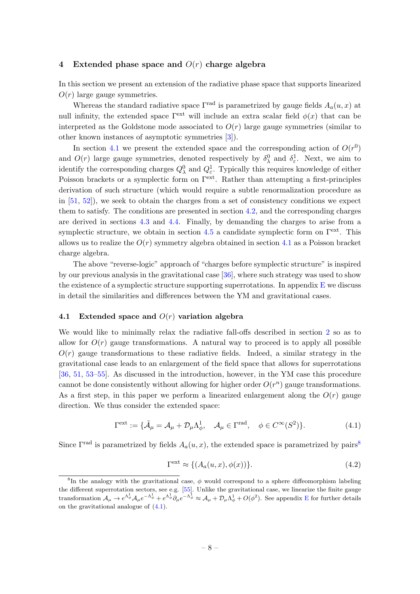#### <span id="page-8-0"></span>4 Extended phase space and  $O(r)$  charge algebra

In this section we present an extension of the radiative phase space that supports linearized  $O(r)$  large gauge symmetries.

Whereas the standard radiative space  $\Gamma^{\text{rad}}$  is parametrized by gauge fields  $A_a(u, x)$  at null infinity, the extended space  $\Gamma^{\text{ext}}$  will include an extra scalar field  $\phi(x)$  that can be interpreted as the Goldstone mode associated to  $O(r)$  large gauge symmetries (similar to other known instances of asymptotic symmetries [\[3\]](#page-24-1)).

In section [4.1](#page-8-1) we present the extended space and the corresponding action of  $O(r^0)$ and  $O(r)$  large gauge symmetries, denoted respectively by  $\delta_{\lambda}^{0}$  and  $\delta_{\varepsilon}^{1}$ . Next, we aim to identify the corresponding charges  $Q_{\lambda}^{0}$  and  $Q_{\varepsilon}^{1}$ . Typically this requires knowledge of either Poisson brackets or a symplectic form on  $\Gamma^{\text{ext}}$ . Rather than attempting a first-principles derivation of such structure (which would require a subtle renormalization procedure as in [\[51,](#page-27-2) [52\]](#page-27-3)), we seek to obtain the charges from a set of consistency conditions we expect them to satisfy. The conditions are presented in section [4.2,](#page-9-0) and the corresponding charges are derived in sections [4.3](#page-10-0) and [4.4.](#page-12-0) Finally, by demanding the charges to arise from a symplectic structure, we obtain in section [4.5](#page-13-0) a candidate symplectic form on  $\Gamma^{\text{ext}}$ . This allows us to realize the  $O(r)$  symmetry algebra obtained in section [4.1](#page-8-1) as a Poisson bracket charge algebra.

The above "reverse-logic" approach of "charges before symplectic structure" is inspired by our previous analysis in the gravitational case [\[36\]](#page-26-7), where such strategy was used to show the existence of a symplectic structure supporting superrotations. In appendix  $E$  we discuss in detail the similarities and differences between the YM and gravitational cases.

#### <span id="page-8-1"></span>4.1 Extended space and  $O(r)$  variation algebra

We would like to minimally relax the radiative fall-offs described in section [2](#page-4-0) so as to allow for  $O(r)$  gauge transformations. A natural way to proceed is to apply all possible  $O(r)$  gauge transformations to these radiative fields. Indeed, a similar strategy in the gravitational case leads to an enlargement of the field space that allows for superrotations [\[36,](#page-26-7) [51,](#page-27-2) [53–](#page-27-4)[55\]](#page-27-5). As discussed in the introduction, however, in the YM case this procedure cannot be done consistently without allowing for higher order  $O(r^n)$  gauge transformations. As a first step, in this paper we perform a linearized enlargement along the  $O(r)$  gauge direction. We thus consider the extended space:

<span id="page-8-3"></span>
$$
\Gamma^{\text{ext}} := \{ \tilde{\mathcal{A}}_{\mu} = \mathcal{A}_{\mu} + \mathcal{D}_{\mu} \Lambda_{\phi}^{1}, \quad \mathcal{A}_{\mu} \in \Gamma^{\text{rad}}, \quad \phi \in C^{\infty}(S^2) \}. \tag{4.1}
$$

Since  $\Gamma^{\text{rad}}$  is parametrized by fields  $A_a(u, x)$ , the extended space is parametrized by pairs<sup>[8](#page-8-2)</sup>

<span id="page-8-4"></span>
$$
\Gamma^{\text{ext}} \approx \{ (A_a(u, x), \phi(x)) \}. \tag{4.2}
$$

<span id="page-8-2"></span><sup>&</sup>lt;sup>8</sup>In the analogy with the gravitational case,  $\phi$  would correspond to a sphere diffeomorphism labeling the different superrotation sectors, see e.g. [\[55\]](#page-27-5). Unlike the gravitational case, we linearize the finite gauge transformation  $\mathcal{A}_{\mu} \to e^{\Lambda_{\phi}^1} \mathcal{A}_{\mu} e^{-\Lambda_{\phi}^1} + e^{\Lambda_{\phi}^1} \partial_{\mu} e^{-\Lambda_{\phi}^1} \approx \mathcal{A}_{\mu} + \mathcal{D}_{\mu} \Lambda_{\phi}^1 + O(\phi^2)$ . See appendix [E](#page-21-0) for further details on the gravitational analogue of [\(4.1\)](#page-8-3).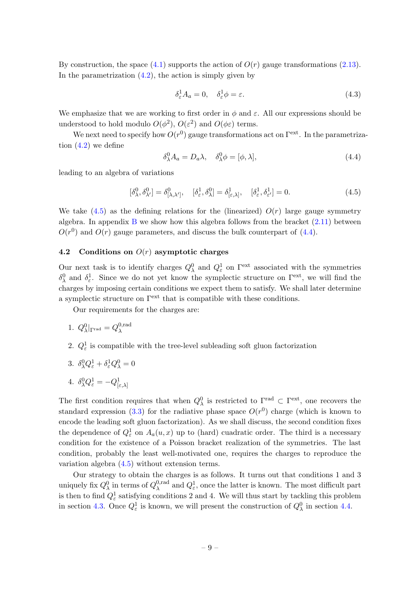By construction, the space  $(4.1)$  supports the action of  $O(r)$  gauge transformations  $(2.13)$ . In the parametrization  $(4.2)$ , the action is simply given by

<span id="page-9-3"></span>
$$
\delta_{\varepsilon}^{1} A_{a} = 0, \quad \delta_{\varepsilon}^{1} \phi = \varepsilon. \tag{4.3}
$$

We emphasize that we are working to first order in  $\phi$  and  $\varepsilon$ . All our expressions should be understood to hold modulo  $O(\phi^2)$ ,  $O(\varepsilon^2)$  and  $O(\phi\varepsilon)$  terms.

We next need to specify how  $O(r^0)$  gauge transformations act on  $\Gamma^{\text{ext}}$ . In the parametrization  $(4.2)$  we define

<span id="page-9-2"></span>
$$
\delta^0_\lambda A_a = D_a \lambda, \quad \delta^0_\lambda \phi = [\phi, \lambda], \tag{4.4}
$$

leading to an algebra of variations

<span id="page-9-1"></span>
$$
[\delta^0_\lambda, \delta^0_{\lambda'}] = \delta^0_{[\lambda, \lambda']}, \quad [\delta^1_\varepsilon, \delta^0_\lambda] = \delta^1_{[\varepsilon, \lambda]}, \quad [\delta^1_\varepsilon, \delta^1_{\varepsilon'}] = 0. \tag{4.5}
$$

We take  $(4.5)$  as the defining relations for the (linearized)  $O(r)$  large gauge symmetry algebra. In appendix [B](#page-16-0) we show how this algebra follows from the bracket  $(2.11)$  between  $O(r^0)$  and  $O(r)$  gauge parameters, and discuss the bulk counterpart of [\(4.4\)](#page-9-2).

## <span id="page-9-0"></span>4.2 Conditions on  $O(r)$  asymptotic charges

Our next task is to identify charges  $Q^0_\lambda$  and  $Q^1_\varepsilon$  on  $\Gamma^{\text{ext}}$  associated with the symmetries  $\delta_{\lambda}^{0}$  and  $\delta_{\varepsilon}^{1}$ . Since we do not yet know the symplectic structure on  $\Gamma^{\text{ext}}$ , we will find the charges by imposing certain conditions we expect them to satisfy. We shall later determine a symplectic structure on  $\Gamma^{\text{ext}}$  that is compatible with these conditions.

Our requirements for the charges are:

1. 
$$
Q_{\lambda}^{0}|_{\Gamma^{\text{rad}}} = Q_{\lambda}^{0,\text{rad}}
$$

2.  $Q_{\varepsilon}^1$  is compatible with the tree-level subleading soft gluon factorization

$$
3. \ \delta^0_\lambda Q^1_\varepsilon + \delta^1_\varepsilon Q^0_\lambda = 0
$$

4. 
$$
\delta^0_{\lambda} Q^1_{\varepsilon} = -Q^1_{[\varepsilon,\lambda]}
$$

The first condition requires that when  $Q_{\lambda}^{0}$  is restricted to  $\Gamma^{\text{rad}} \subset \Gamma^{\text{ext}}$ , one recovers the standard expression [\(3.3\)](#page-6-5) for the radiative phase space  $O(r^0)$  charge (which is known to encode the leading soft gluon factorization). As we shall discuss, the second condition fixes the dependence of  $Q_{\varepsilon}^1$  on  $A_a(u, x)$  up to (hard) cuadratic order. The third is a necessary condition for the existence of a Poisson bracket realization of the symmetries. The last condition, probably the least well-motivated one, requires the charges to reproduce the variation algebra  $(4.5)$  without extension terms.

Our strategy to obtain the charges is as follows. It turns out that conditions 1 and 3 uniquely fix  $Q^0_\lambda$  in terms of  $Q^{0,\text{rad}}_\lambda$  $Q_{\varepsilon}^{0, \text{rad}}$  and  $Q_{\varepsilon}^{1}$ , once the latter is known. The most difficult part is then to find  $Q_{\varepsilon}^1$  satisfying conditions 2 and 4. We will thus start by tackling this problem in section [4.3.](#page-10-0) Once  $Q_{\varepsilon}^1$  is known, we will present the construction of  $Q_{\lambda}^0$  in section [4.4.](#page-12-0)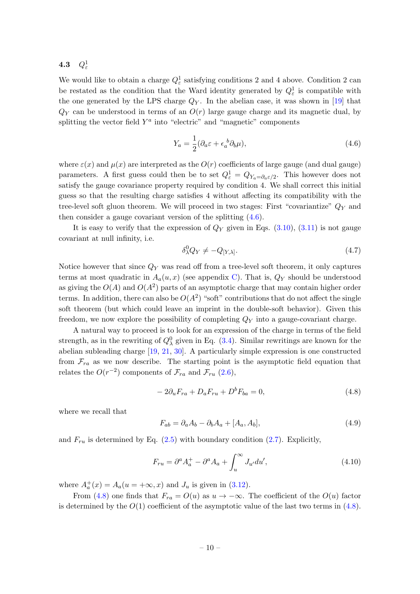<span id="page-10-0"></span>4.3  $Q^1_\varepsilon$ 

We would like to obtain a charge  $Q_{\varepsilon}^1$  satisfying conditions 2 and 4 above. Condition 2 can be restated as the condition that the Ward identity generated by  $Q_{\varepsilon}^1$  is compatible with the one generated by the LPS charge  $Q_Y$ . In the abelian case, it was shown in [\[19\]](#page-25-4) that  $Q_Y$  can be understood in terms of an  $O(r)$  large gauge charge and its magnetic dual, by splitting the vector field  $Y^a$  into "electric" and "magnetic" components

<span id="page-10-1"></span>
$$
Y_a = \frac{1}{2} (\partial_a \varepsilon + \epsilon_a^{\ b} \partial_b \mu), \tag{4.6}
$$

where  $\varepsilon(x)$  and  $\mu(x)$  are interpreted as the  $O(r)$  coefficients of large gauge (and dual gauge) parameters. A first guess could then be to set  $Q_{\varepsilon}^1 = Q_{Y_a = \partial_a \varepsilon/2}$ . This however does not satisfy the gauge covariance property required by condition 4. We shall correct this initial guess so that the resulting charge satisfies 4 without affecting its compatibility with the tree-level soft gluon theorem. We will proceed in two stages: First "covariantize"  $Q<sub>Y</sub>$  and then consider a gauge covariant version of the splitting [\(4.6\)](#page-10-1).

It is easy to verify that the expression of  $Q_Y$  given in Eqs. [\(3.10\)](#page-7-3), [\(3.11\)](#page-7-3) is not gauge covariant at null infinity, i.e.

$$
\delta^0_\lambda Q_Y \neq -Q_{[Y,\lambda]}.\tag{4.7}
$$

Notice however that since  $Q<sub>Y</sub>$  was read off from a tree-level soft theorem, it only captures terms at most quadratic in  $A_a(u, x)$  (see appendix [C\)](#page-18-2). That is,  $Q_Y$  should be understood as giving the  $O(A)$  and  $O(A^2)$  parts of an asymptotic charge that may contain higher order terms. In addition, there can also be  $O(A^2)$  "soft" contributions that do not affect the single soft theorem (but which could leave an imprint in the double-soft behavior). Given this freedom, we now explore the possibility of completing  $Q<sub>Y</sub>$  into a gauge-covariant charge.

A natural way to proceed is to look for an expression of the charge in terms of the field strength, as in the rewriting of  $Q^0_\lambda$  given in Eq. [\(3.4\)](#page-7-1). Similar rewritings are known for the abelian subleading charge [\[19,](#page-25-4) [21,](#page-25-6) [30\]](#page-26-0). A particularly simple expression is one constructed from  $\mathcal{F}_{ra}$  as we now describe. The starting point is the asymptotic field equation that relates the  $O(r^{-2})$  components of  $\mathcal{F}_{ra}$  and  $\mathcal{F}_{ru}$  [\(2.6\)](#page-5-6),

<span id="page-10-2"></span>
$$
-2\partial_u F_{ra} + D_a F_{ru} + D^b F_{ba} = 0,
$$
\n
$$
(4.8)
$$

where we recall that

<span id="page-10-3"></span>
$$
F_{ab} = \partial_a A_b - \partial_b A_a + [A_a, A_b],\tag{4.9}
$$

and  $F_{ru}$  is determined by Eq. [\(2.5\)](#page-5-6) with boundary condition [\(2.7\)](#page-5-3). Explicitly,

<span id="page-10-4"></span>
$$
F_{ru} = \partial^a A_a^+ - \partial^a A_a + \int_u^\infty J_{u'} du',\tag{4.10}
$$

where  $A_a^+(x) = A_a(u = +\infty, x)$  and  $J_u$  is given in [\(3.12\)](#page-7-6).

From [\(4.8\)](#page-10-2) one finds that  $F_{ra} = O(u)$  as  $u \to -\infty$ . The coefficient of the  $O(u)$  factor is determined by the  $O(1)$  coefficient of the asymptotic value of the last two terms in [\(4.8\)](#page-10-2).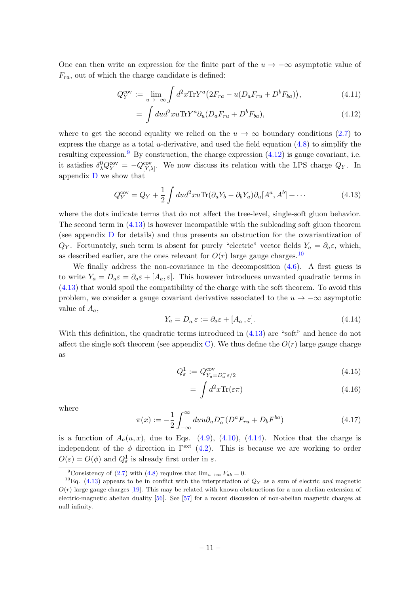One can then write an expression for the finite part of the  $u \to -\infty$  asymptotic value of  $F_{ra}$ , out of which the charge candidate is defined:

<span id="page-11-1"></span>
$$
Q_Y^{\text{cov}} := \lim_{u \to -\infty} \int d^2x \text{Tr} Y^a \left( 2F_{ra} - u(D_a F_{ru} + D^b F_{ba}) \right),\tag{4.11}
$$

$$
= \int du d^2x u \text{Tr} Y^a \partial_u (D_a F_{ru} + D^b F_{ba}), \qquad (4.12)
$$

where to get the second equality we relied on the  $u \to \infty$  boundary conditions [\(2.7\)](#page-5-3) to express the charge as a total *u*-derivative, and used the field equation  $(4.8)$  to simplify the resulting expression.<sup>[9](#page-11-0)</sup> By construction, the charge expression  $(4.12)$  is gauge covariant, i.e. it satisfies  $\delta_{\lambda}^{0} Q_{Y}^{\text{cov}} = -Q_{[Y,\lambda]}^{\text{cov}}$ . We now discuss its relation with the LPS charge  $Q_{Y}$ . In appendix [D](#page-20-0) we show that

<span id="page-11-2"></span>
$$
Q_Y^{\text{cov}} = Q_Y + \frac{1}{2} \int du d^2x u \text{Tr}(\partial_a Y_b - \partial_b Y_a) \partial_u [A^a, A^b] + \cdots
$$
 (4.13)

where the dots indicate terms that do not affect the tree-level, single-soft gluon behavior. The second term in [\(4.13\)](#page-11-2) is however incompatible with the subleading soft gluon theorem (see appendix [D](#page-20-0) for details) and thus presents an obstruction for the covariantization of  $Q_Y$ . Fortunately, such term is absent for purely "electric" vector fields  $Y_a = \partial_a \varepsilon$ , which, as described earlier, are the ones relevant for  $O(r)$  large gauge charges.<sup>[10](#page-11-3)</sup>

We finally address the non-covariance in the decomposition  $(4.6)$ . A first guess is to write  $Y_a = D_a \varepsilon = \partial_a \varepsilon + [A_a, \varepsilon]$ . This however introduces unwanted quadratic terms in [\(4.13\)](#page-11-2) that would spoil the compatibility of the charge with the soft theorem. To avoid this problem, we consider a gauge covariant derivative associated to the  $u \to -\infty$  asymptotic value of  $A_a$ ,

<span id="page-11-4"></span>
$$
Y_a = D_a^- \varepsilon := \partial_a \varepsilon + [A_a^-, \varepsilon]. \tag{4.14}
$$

With this definition, the quadratic terms introduced in  $(4.13)$  are "soft" and hence do not affect the single soft theorem (see appendix [C\)](#page-18-2). We thus define the  $O(r)$  large gauge charge as

<span id="page-11-5"></span>
$$
Q_{\varepsilon}^{1} := Q_{Y_a = D_a^{-\varepsilon}/2}^{\text{cov}} \tag{4.15}
$$

$$
= \int d^2x \text{Tr}(\varepsilon \pi) \tag{4.16}
$$

where

$$
\pi(x) := -\frac{1}{2} \int_{-\infty}^{\infty} du u \partial_u D_a^{-} (D^a F_{ru} + D_b F^{ba}) \tag{4.17}
$$

is a function of  $A_a(u, x)$ , due to Eqs. [\(4.9\)](#page-10-3), [\(4.10\)](#page-10-4), [\(4.14\)](#page-11-4). Notice that the charge is independent of the  $\phi$  direction in  $\Gamma^{\text{ext}}$  [\(4.2\)](#page-8-4). This is because we are working to order  $O(\varepsilon) = O(\phi)$  and  $Q_{\varepsilon}^1$  is already first order in  $\varepsilon$ .

<span id="page-11-3"></span><span id="page-11-0"></span><sup>&</sup>lt;sup>9</sup>Consistency of [\(2.7\)](#page-5-3) with [\(4.8\)](#page-10-2) requires that  $\lim_{u\to\infty} F_{ab} = 0$ .

<sup>&</sup>lt;sup>10</sup>Eq. [\(4.13\)](#page-11-2) appears to be in conflict with the interpretation of  $Q_Y$  as a sum of electric *and* magnetic  $O(r)$  large gauge charges [\[19\]](#page-25-4). This may be related with known obstructions for a non-abelian extension of electric-magnetic abelian duality [\[56\]](#page-27-6). See [\[57\]](#page-27-7) for a recent discussion of non-abelian magnetic charges at null infinity.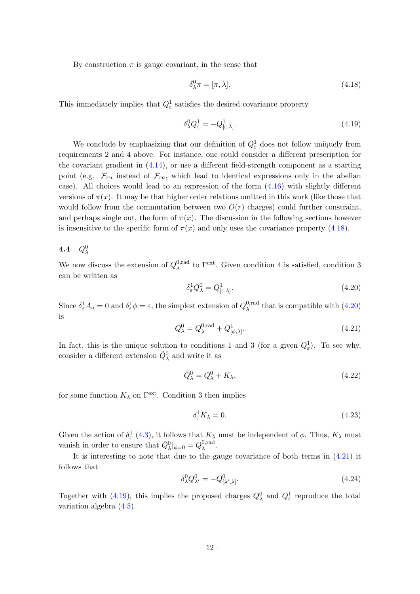By construction  $\pi$  is gauge covariant, in the sense that

<span id="page-12-1"></span>
$$
\delta_{\lambda}^{0}\pi = [\pi, \lambda]. \tag{4.18}
$$

This immediately implies that  $Q_{\varepsilon}^1$  satisfies the desired covariance property

<span id="page-12-4"></span>
$$
\delta^0_\lambda Q^1_\varepsilon = -Q^1_{[\varepsilon,\lambda]}.\tag{4.19}
$$

We conclude by emphasizing that our definition of  $Q_{\varepsilon}^1$  does not follow uniquely from requirements 2 and 4 above. For instance, one could consider a different prescription for the covariant gradient in [\(4.14\)](#page-11-4), or use a different field-strength component as a starting point (e.g.  $\mathcal{F}_{ru}$  instead of  $\mathcal{F}_{ra}$ , which lead to identical expressions only in the abelian case). All choices would lead to an expression of the form [\(4.16\)](#page-11-5) with slightly different versions of  $\pi(x)$ . It may be that higher order relations omitted in this work (like those that would follow from the commutation between two  $O(r)$  charges) could further constraint, and perhaps single out, the form of  $\pi(x)$ . The discussion in the following sections however is insensitive to the specific form of  $\pi(x)$  and only uses the covariance property [\(4.18\)](#page-12-1).

# <span id="page-12-0"></span>4.4  $Q^0_\lambda$

We now discuss the extension of  $Q_{\lambda}^{0,\text{rad}}$ <sup>0,rad</sup> to  $\Gamma^{\text{ext}}$ . Given condition 4 is satisfied, condition 3 can be written as

<span id="page-12-2"></span>
$$
\delta_{\varepsilon}^{1} Q_{\lambda}^{0} = Q_{[\varepsilon,\lambda]}^{1}.
$$
\n(4.20)

Since  $\delta_{\varepsilon}^1 A_a = 0$  and  $\delta_{\varepsilon}^1 \phi = \varepsilon$ , the simplest extension of  $Q_{\lambda}^{0, \text{rad}}$  $_{\lambda}^{0,\text{rad}}$  that is compatible with  $(4.20)$ is

<span id="page-12-3"></span>
$$
Q_{\lambda}^{0} = Q_{\lambda}^{0, \text{rad}} + Q_{[\phi, \lambda]}^{1}.
$$
\n(4.21)

In fact, this is the unique solution to conditions 1 and 3 (for a given  $Q_{\varepsilon}^1$ ). To see why, consider a different extension  $\tilde{Q}^0_\lambda$  and write it as

$$
\tilde{Q}^0_{\lambda} = Q^0_{\lambda} + K_{\lambda},\tag{4.22}
$$

for some function  $K_{\lambda}$  on  $\Gamma^{\text{ext}}$ . Condition 3 then implies

$$
\delta_{\varepsilon}^{1} K_{\lambda} = 0. \tag{4.23}
$$

Given the action of  $\delta_{\varepsilon}^1$  [\(4.3\)](#page-9-3), it follows that  $K_{\lambda}$  must be independent of  $\phi$ . Thus,  $K_{\lambda}$  must vanish in order to ensure that  $\tilde{Q}^0_\lambda|_{\phi=0} = Q^{0,\text{rad}}_\lambda$ λ .

It is interesting to note that due to the gauge covariance of both terms in [\(4.21\)](#page-12-3) it follows that

$$
\delta^0_\lambda Q^0_{\lambda'} = -Q^0_{[\lambda',\lambda]}.\tag{4.24}
$$

Together with [\(4.19\)](#page-12-4), this implies the proposed charges  $Q_{\lambda}^{0}$  and  $Q_{\varepsilon}^{1}$  reproduce the total variation algebra [\(4.5\)](#page-9-1).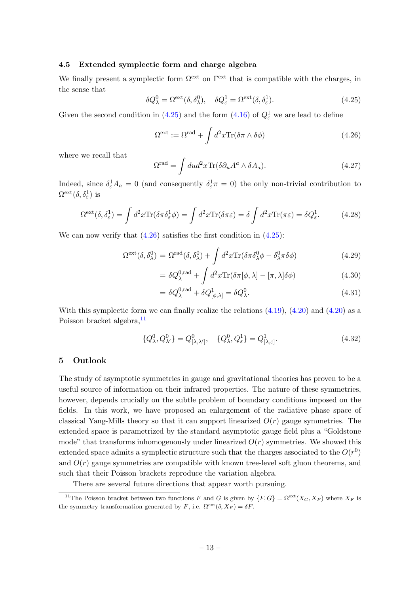#### <span id="page-13-0"></span>4.5 Extended symplectic form and charge algebra

We finally present a symplectic form  $\Omega^{\text{ext}}$  on  $\Gamma^{\text{ext}}$  that is compatible with the charges, in the sense that

<span id="page-13-2"></span>
$$
\delta Q_{\lambda}^{0} = \Omega^{\text{ext}}(\delta, \delta_{\lambda}^{0}), \quad \delta Q_{\varepsilon}^{1} = \Omega^{\text{ext}}(\delta, \delta_{\varepsilon}^{1}). \tag{4.25}
$$

Given the second condition in [\(4.25\)](#page-13-2) and the form [\(4.16\)](#page-11-5) of  $Q_{\varepsilon}^1$  we are lead to define

<span id="page-13-3"></span>
$$
\Omega^{\text{ext}} := \Omega^{\text{rad}} + \int d^2x \text{Tr}(\delta \pi \wedge \delta \phi) \tag{4.26}
$$

where we recall that

$$
\Omega^{\text{rad}} = \int du d^2x \text{Tr}(\delta \partial_u A^a \wedge \delta A_a). \tag{4.27}
$$

Indeed, since  $\delta_{\varepsilon}^1 A_a = 0$  (and consequently  $\delta_{\varepsilon}^1 \pi = 0$ ) the only non-trivial contribution to  $\Omega^{\rm ext}(\delta,\delta^1_\varepsilon)$  is

$$
\Omega^{\text{ext}}(\delta, \delta_{\varepsilon}^{1}) = \int d^{2}x \text{Tr}(\delta \pi \delta_{\varepsilon}^{1} \phi) = \int d^{2}x \text{Tr}(\delta \pi \varepsilon) = \delta \int d^{2}x \text{Tr}(\pi \varepsilon) = \delta Q_{\varepsilon}^{1}.
$$
 (4.28)

We can now verify that  $(4.26)$  satisfies the first condition in  $(4.25)$ :

$$
\Omega^{\text{ext}}(\delta, \delta^0_{\lambda}) = \Omega^{\text{rad}}(\delta, \delta^0_{\lambda}) + \int d^2x \text{Tr}(\delta \pi \delta^0_{\lambda} \phi - \delta^0_{\lambda} \pi \delta \phi)
$$
(4.29)

$$
= \delta Q_{\lambda}^{0,\text{rad}} + \int d^2x \text{Tr}(\delta \pi[\phi, \lambda] - [\pi, \lambda] \delta \phi)
$$
 (4.30)

$$
= \delta Q_{\lambda}^{0,\text{rad}} + \delta Q_{[\phi,\lambda]}^1 = \delta Q_{\lambda}^0.
$$
\n(4.31)

With this symplectic form we can finally realize the relations  $(4.19)$ ,  $(4.20)$  and  $(4.20)$  as a Poisson bracket algebra.<sup>[11](#page-13-4)</sup>

$$
\{Q^0_{\lambda}, Q^0_{\lambda'}\} = Q^0_{[\lambda, \lambda']}, \quad \{Q^0_{\lambda}, Q^1_{\varepsilon}\} = Q^1_{[\lambda, \varepsilon]}.
$$
\n(4.32)

#### <span id="page-13-1"></span>5 Outlook

The study of asymptotic symmetries in gauge and gravitational theories has proven to be a useful source of information on their infrared properties. The nature of these symmetries, however, depends crucially on the subtle problem of boundary conditions imposed on the fields. In this work, we have proposed an enlargement of the radiative phase space of classical Yang-Mills theory so that it can support linearized  $O(r)$  gauge symmetries. The extended space is parametrized by the standard asymptotic gauge field plus a "Goldstone mode" that transforms inhomogenously under linearized  $O(r)$  symmetries. We showed this extended space admits a symplectic structure such that the charges associated to the  $O(r^0)$ and  $O(r)$  gauge symmetries are compatible with known tree-level soft gluon theorems, and such that their Poisson brackets reproduce the variation algebra.

<span id="page-13-4"></span>There are several future directions that appear worth pursuing.

<sup>&</sup>lt;sup>11</sup>The Poisson bracket between two functions F and G is given by  $\{F,G\} = \Omega^{\text{ext}}(X_G, X_F)$  where  $X_F$  is the symmetry transformation generated by F, i.e.  $\Omega^{\text{ext}}(\delta, X_F) = \delta F$ .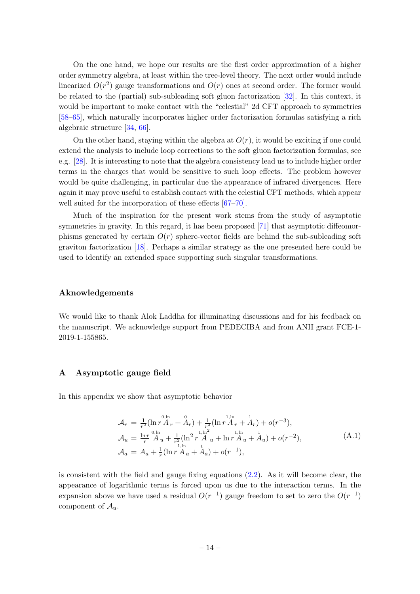On the one hand, we hope our results are the first order approximation of a higher order symmetry algebra, at least within the tree-level theory. The next order would include linearized  $O(r^2)$  gauge transformations and  $O(r)$  ones at second order. The former would be related to the (partial) sub-subleading soft gluon factorization [\[32\]](#page-26-2). In this context, it would be important to make contact with the "celestial" 2d CFT approach to symmetries [\[58–](#page-27-8)[65\]](#page-27-9), which naturally incorporates higher order factorization formulas satisfying a rich algebraic structure [\[34,](#page-26-4) [66\]](#page-27-10).

On the other hand, staying within the algebra at  $O(r)$ , it would be exciting if one could extend the analysis to include loop corrections to the soft gluon factorization formulas, see e.g. [\[28\]](#page-25-14). It is interesting to note that the algebra consistency lead us to include higher order terms in the charges that would be sensitive to such loop effects. The problem however would be quite challenging, in particular due the appearance of infrared divergences. Here again it may prove useful to establish contact with the celestial CFT methods, which appear well suited for the incorporation of these effects [\[67–](#page-28-0)[70\]](#page-28-1).

Much of the inspiration for the present work stems from the study of asymptotic symmetries in gravity. In this regard, it has been proposed [\[71\]](#page-28-2) that asymptotic diffeomorphisms generated by certain  $O(r)$  sphere-vector fields are behind the sub-subleading soft graviton factorization [\[18\]](#page-25-3). Perhaps a similar strategy as the one presented here could be used to identify an extended space supporting such singular transformations.

#### Aknowledgements

We would like to thank Alok Laddha for illuminating discussions and for his feedback on the manuscript. We acknowledge support from PEDECIBA and from ANII grant FCE-1- 2019-1-155865.

#### <span id="page-14-0"></span>A Asymptotic gauge field

In this appendix we show that asymptotic behavior

<span id="page-14-1"></span>
$$
\mathcal{A}_{r} = \frac{1}{r^{2}} (\ln r \mathring{A}_{r} + \mathring{A}_{r}) + \frac{1}{r^{3}} (\ln r \mathring{A}_{r} + \mathring{A}_{r}) + o(r^{-3}),
$$
\n
$$
\mathcal{A}_{u} = \frac{\ln r}{r} \mathring{A}_{u} + \frac{1}{r^{2}} (\ln^{2} r \mathring{A}_{u} + \ln r \mathring{A}_{u} + \mathring{A}_{u}) + o(r^{-2}),
$$
\n
$$
\mathcal{A}_{a} = A_{a} + \frac{1}{r} (\ln r \mathring{A}_{a} + \mathring{A}_{a}) + o(r^{-1}),
$$
\n(A.1)

is consistent with the field and gauge fixing equations [\(2.2\)](#page-4-2). As it will become clear, the appearance of logarithmic terms is forced upon us due to the interaction terms. In the expansion above we have used a residual  $O(r^{-1})$  gauge freedom to set to zero the  $O(r^{-1})$ component of  $\mathcal{A}_u$ .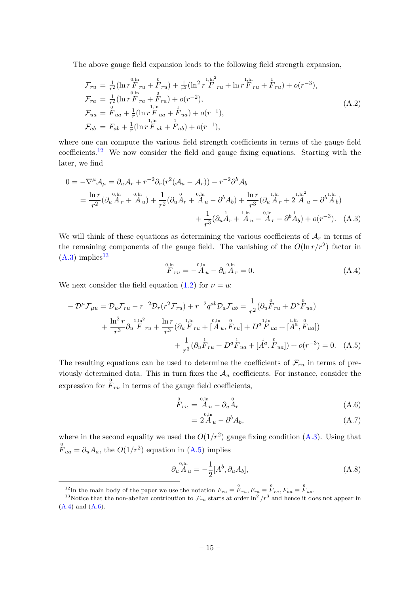The above gauge field expansion leads to the following field strength expansion,

$$
\mathcal{F}_{ru} = \frac{1}{r^2} (\ln r \mathbf{F}_{ru} + \mathbf{F}_{ru}) + \frac{1}{r^3} (\ln^2 r \mathbf{F}_{ru}^{1,\ln^2} + \ln r \mathbf{F}_{ru} + \mathbf{F}_{ru}) + o(r^{-3}),
$$
\n
$$
\mathcal{F}_{ra} = \frac{1}{r^2} (\ln r \mathbf{F}_{ra} + \mathbf{F}_{ra}) + o(r^{-2}),
$$
\n
$$
\mathcal{F}_{ua} = \mathbf{F}_{ua} + \frac{1}{r} (\ln r \mathbf{F}_{ua} + \mathbf{F}_{ua}) + o(r^{-1}),
$$
\n
$$
\mathcal{F}_{ab} = F_{ab} + \frac{1}{r} (\ln r \mathbf{F}_{ab} + \mathbf{F}_{ab}) + o(r^{-1}),
$$
\n(A.2)

where one can compute the various field strength coefficients in terms of the gauge field coefficients.<sup>[12](#page-15-0)</sup> We now consider the field and gauge fixing equations. Starting with the later, we find

$$
0 = -\nabla^{\mu} A_{\mu} = \partial_{u} A_{r} + r^{-2} \partial_{r} (r^{2} (A_{u} - A_{r})) - r^{-2} \partial^{b} A_{b}
$$
  
=  $\frac{\ln r}{r^{2}} (\partial_{u} A_{r} + A_{u}) + \frac{1}{r^{2}} (\partial_{u} A_{r} + A_{u} - \partial^{b} A_{b}) + \frac{\ln r}{r^{3}} (\partial_{u} A_{r} + 2 A_{u} - \partial^{b} A_{b})$   
+  $\frac{1}{r^{3}} (\partial_{u} A_{r} + A_{u} - A_{r} - \partial^{b} A_{b}) + o(r^{-3}).$  (A.3)

We will think of these equations as determining the various coefficients of  $A_r$  in terms of the remaining components of the gauge field. The vanishing of the  $O(\ln r/r^2)$  factor in  $(A.3)$  implies<sup>[13](#page-15-2)</sup>

<span id="page-15-4"></span><span id="page-15-1"></span>
$$
\overset{0,\ln}{F}_{ru} = -\overset{0,\ln}{A}_u - \partial_u \overset{0,\ln}{A}_r = 0. \tag{A.4}
$$

We next consider the field equation [\(1.2\)](#page-3-5) for  $\nu = u$ :

$$
- \mathcal{D}^{\mu} \mathcal{F}_{\mu u} = \mathcal{D}_{u} \mathcal{F}_{ru} - r^{-2} \mathcal{D}_{r} (r^{2} \mathcal{F}_{ru}) + r^{-2} q^{ab} \mathcal{D}_{a} \mathcal{F}_{ub} = \frac{1}{r^{2}} (\partial_{u} \overset{\scriptscriptstyle 0}{F}_{ru} + D^{a} \overset{\scriptscriptstyle 0}{F}_{ua}) + \frac{\ln^{2} r}{r^{3}} \partial_{u} \overset{\scriptscriptstyle 1, \ln^{2}}{F}_{ru} + \frac{\ln r}{r^{3}} (\partial_{u} \overset{\scriptscriptstyle 1, \ln}{F}_{ru} + \overset{\scriptscriptstyle 0, \ln}{[A}_{u}, \overset{\scriptscriptstyle 0}{F}_{ru}] + D^{a} \overset{\scriptscriptstyle 1, \ln}{F}_{ua} + \overset{\scriptscriptstyle 1, \ln}{[A^{a}, \overset{\scriptscriptstyle 0}{F}_{ua}]} ) + \frac{1}{r^{3}} (\partial_{u} \overset{\scriptscriptstyle 1}{F}_{ru} + D^{a} \overset{\scriptscriptstyle 1}{F}_{ua} + \overset{\scriptscriptstyle 1}{[A^{a}, \overset{\scriptscriptstyle 0}{F}_{ua}]}) + o(r^{-3}) = 0. \quad (A.5)
$$

The resulting equations can be used to determine the coefficients of  $\mathcal{F}_{ru}$  in terms of previously determined data. This in turn fixes the  $A_u$  coefficients. For instance, consider the expression for  $\overset{0}{F}_{ru}$  in terms of the gauge field coefficients,

<span id="page-15-5"></span>
$$
\overset{0}{F}_{ru} = \overset{0,\text{ln}}{A}_u - \partial_u \overset{0}{A}_r \tag{A.6}
$$

<span id="page-15-3"></span>
$$
=2A_u - \partial^b A_b,\tag{A.7}
$$

where in the second equality we used the  $O(1/r^2)$  gauge fixing condition [\(A.3\)](#page-15-1). Using that  $\mathring{F}_{ua} = \partial_u A_a$ , the  $O(1/r^2)$  equation in [\(A.5\)](#page-15-3) implies

$$
\partial_u{}^{^{0,\ln}} A_u = -\frac{1}{2} [A^b, \partial_u A_b], \tag{A.8}
$$

<span id="page-15-2"></span><span id="page-15-0"></span><sup>12</sup>In the main body of the paper we use the notation  $F_{ru} \equiv \mathring{F}_{ru}$ ,  $F_{ra} \equiv \mathring{F}_{ra}$ ,  $F_{ua} \equiv \mathring{F}_{ua}$ .

<sup>&</sup>lt;sup>13</sup>Notice that the non-abelian contribution to  $\mathcal{F}_{ru}$  starts at order  $\ln^2/r^3$  and hence it does not appear in  $(A.4)$  and  $(A.6)$ .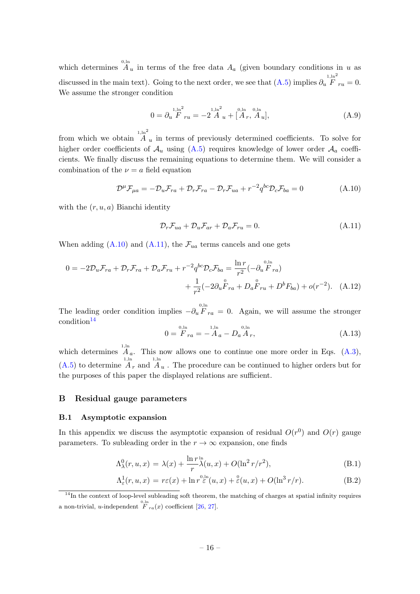which determines  $A_u$  in terms of the free data  $A_a$  (given boundary conditions in u as discussed in the main text). Going to the next order, we see that  $(A.5)$  implies  $\partial_u$  $1, \ln^2$  $F_{ru} = 0.$ We assume the stronger condition

$$
0 = \partial_u \stackrel{1,\text{ln}^2}{F}_{ru} = -2 \stackrel{1,\text{ln}^2}{A}_u + \stackrel{0,\text{ln}}{[A_r, A_u]}, \tag{A.9}
$$

from which we obtain  $1, \ln^2$  $A_u$  in terms of previously determined coefficients. To solve for higher order coefficients of  $\mathcal{A}_u$  using  $(A.5)$  requires knowledge of lower order  $\mathcal{A}_a$  coefficients. We finally discuss the remaining equations to determine them. We will consider a combination of the  $\nu = a$  field equation

<span id="page-16-2"></span>
$$
\mathcal{D}^{\mu}\mathcal{F}_{\mu a} = -\mathcal{D}_{u}\mathcal{F}_{ra} + \mathcal{D}_{r}\mathcal{F}_{ra} - \mathcal{D}_{r}\mathcal{F}_{ua} + r^{-2}q^{bc}\mathcal{D}_{c}\mathcal{F}_{ba} = 0
$$
\n(A.10)

with the  $(r, u, a)$  Bianchi identity

<span id="page-16-3"></span>
$$
\mathcal{D}_r \mathcal{F}_{ua} + \mathcal{D}_u \mathcal{F}_{ar} + \mathcal{D}_a \mathcal{F}_{ru} = 0.
$$
\n(A.11)

When adding  $(A.10)$  and  $(A.11)$ , the  $\mathcal{F}_{ua}$  terms cancels and one gets

$$
0 = -2\mathcal{D}_{u}\mathcal{F}_{ra} + \mathcal{D}_{r}\mathcal{F}_{ra} + \mathcal{D}_{a}\mathcal{F}_{ru} + r^{-2}q^{bc}\mathcal{D}_{c}\mathcal{F}_{ba} = \frac{\ln r}{r^{2}}(-\partial_{u}\overset{0,\ln}{F}_{ra}) + \frac{1}{r^{2}}(-2\partial_{u}\overset{0}{F}_{ra} + D_{a}\overset{0}{F}_{ru} + D^{b}F_{ba}) + o(r^{-2}). \quad (A.12)
$$

The leading order condition implies  $-\partial_u P_{ra} = 0$ . Again, we will assume the stronger  $\text{condition}^{14}$  $\text{condition}^{14}$  $\text{condition}^{14}$ 

$$
0 = \overset{0,\ln}{F}_{ra} = -\overset{1,\ln}{A}_a - D_a \overset{0,\ln}{A}_r,\tag{A.13}
$$

which determines  $A_a$ . This now allows one to continue one more order in Eqs. [\(A.3\)](#page-15-1),  $(A.5)$  to determine  $\overline{A}_r$  and  $\overline{A}_u$ . The procedure can be continued to higher orders but for the purposes of this paper the displayed relations are sufficient.

#### <span id="page-16-0"></span>B Residual gauge parameters

#### <span id="page-16-1"></span>B.1 Asymptotic expansion

In this appendix we discuss the asymptotic expansion of residual  $O(r^0)$  and  $O(r)$  gauge parameters. To subleading order in the  $r \to \infty$  expansion, one finds

<span id="page-16-5"></span>
$$
\Lambda^0_\lambda(r, u, x) = \lambda(x) + \frac{\ln r \ln}{r} \lambda(u, x) + O(\ln^2 r/r^2), \tag{B.1}
$$

$$
\Lambda_{\varepsilon}^{1}(r, u, x) = r\varepsilon(x) + \ln r^{\frac{0, \ln}{\varepsilon}}(u, x) + \frac{\varepsilon}{\varepsilon}(u, x) + O(\ln^{3} r/r). \tag{B.2}
$$

<span id="page-16-4"></span><sup>&</sup>lt;sup>14</sup>In the context of loop-level subleading soft theorem, the matching of charges at spatial infinity requires a non-trivial, *u*-independent  $\overline{F}_{ra}(x)$  coefficient [\[26,](#page-25-15) [27\]](#page-25-13).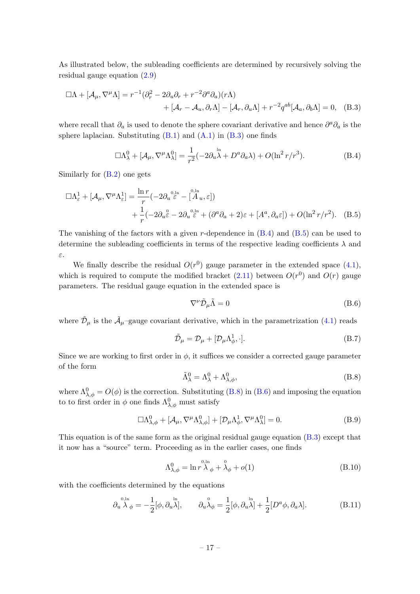As illustrated below, the subleading coefficients are determined by recursively solving the residual gauge equation [\(2.9\)](#page-5-4)

$$
\Box \Lambda + [\mathcal{A}_{\mu}, \nabla^{\mu} \Lambda] = r^{-1} (\partial_r^2 - 2\partial_u \partial_r + r^{-2} \partial^a \partial_a)(r\Lambda)
$$
  
+ 
$$
[\mathcal{A}_r - \mathcal{A}_u, \partial_r \Lambda] - [\mathcal{A}_r, \partial_u \Lambda] + r^{-2} q^{ab} [\mathcal{A}_a, \partial_b \Lambda] = 0, \quad (B.3)
$$

where recall that  $\partial_a$  is used to denote the sphere covariant derivative and hence  $\partial^a \partial_a$  is the sphere laplacian. Substituting  $(B.1)$  and  $(A.1)$  in  $(B.3)$  one finds

<span id="page-17-1"></span><span id="page-17-0"></span>
$$
\Box \Lambda^0_{\lambda} + [\mathcal{A}_{\mu}, \nabla^{\mu} \Lambda^0_{\lambda}] = \frac{1}{r^2} (-2\partial_u^{\ \ln} + D^a \partial_a \lambda) + O(\ln^2 r/r^3). \tag{B.4}
$$

Similarly for [\(B.2\)](#page-16-5) one gets

$$
\Box \Lambda_{\varepsilon}^{1} + [\mathcal{A}_{\mu}, \nabla^{\mu} \Lambda_{\varepsilon}^{1}] = \frac{\ln r}{r} (-2\partial_{u}^{0,\ln} - \left[\stackrel{0,\ln}{A}_{u}, \varepsilon\right]) \n+ \frac{1}{r} (-2\partial_{u}^{0} - 2\partial_{u}^{0,\ln} + (\partial^{a}\partial_{a} + 2)\varepsilon + [A^{a}, \partial_{a}\varepsilon]) + O(\ln^{2} r/r^{2}).
$$
\n(B.5)

The vanishing of the factors with a given r-dependence in  $(B.4)$  and  $(B.5)$  can be used to determine the subleading coefficients in terms of the respective leading coefficients  $\lambda$  and ε.

We finally describe the residual  $O(r^0)$  gauge parameter in the extended space [\(4.1\)](#page-8-3), which is required to compute the modified bracket  $(2.11)$  between  $O(r^0)$  and  $O(r)$  gauge parameters. The residual gauge equation in the extended space is

<span id="page-17-4"></span><span id="page-17-2"></span>
$$
\nabla^{\nu}\tilde{\mathcal{D}}_{\mu}\tilde{\Lambda}=0
$$
 (B.6)

where  $\tilde{\mathcal{D}}_{\mu}$  is the  $\tilde{\mathcal{A}}_{\mu}$ -gauge covariant derivative, which in the parametrization [\(4.1\)](#page-8-3) reads

$$
\tilde{\mathcal{D}}_{\mu} = \mathcal{D}_{\mu} + [\mathcal{D}_{\mu} \Lambda_{\phi}^{1}, \cdot]. \tag{B.7}
$$

Since we are working to first order in  $\phi$ , it suffices we consider a corrected gauge parameter of the form

<span id="page-17-3"></span>
$$
\tilde{\Lambda}^0_{\lambda} = \Lambda^0_{\lambda} + \Lambda^0_{\lambda,\phi},\tag{B.8}
$$

where  $\Lambda_{\lambda,\phi}^0 = O(\phi)$  is the correction. Substituting [\(B.8\)](#page-17-3) in [\(B.6\)](#page-17-4) and imposing the equation to to first order in  $\phi$  one finds  $\Lambda_{\lambda,\phi}^0$  must satisfy

$$
\Box \Lambda^0_{\lambda,\phi} + [\mathcal{A}_{\mu}, \nabla^{\mu} \Lambda^0_{\lambda,\phi}] + [\mathcal{D}_{\mu} \Lambda^1_{\phi}, \nabla^{\mu} \Lambda^0_{\lambda}] = 0.
$$
 (B.9)

This equation is of the same form as the original residual gauge equation [\(B.3\)](#page-17-0) except that it now has a "source" term. Proceeding as in the earlier cases, one finds

$$
\Lambda_{\lambda,\phi}^{0} = \ln r \mathop{\lambda}^{0,\ln}_{\phi} + \mathop{\lambda}^{0}_{\phi} + o(1)
$$
\n(B.10)

with the coefficients determined by the equations

$$
\partial_u^{\rho,\ln}\lambda_\phi = -\frac{1}{2} [\phi, \partial_u^{\ln}], \qquad \partial_u \lambda_\phi = \frac{1}{2} [\phi, \partial_u^{\ln}\lambda] + \frac{1}{2} [D^a \phi, \partial_a \lambda]. \tag{B.11}
$$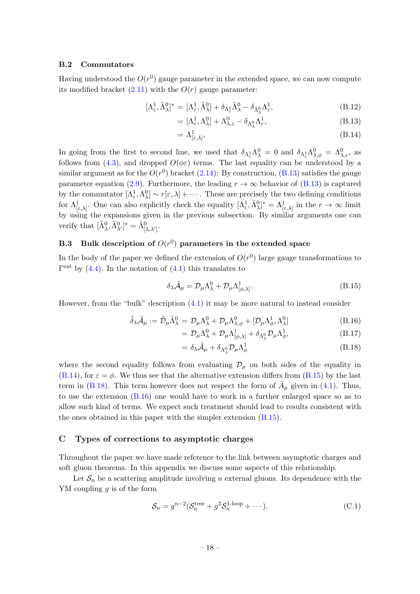#### <span id="page-18-0"></span>B.2 Commutators

Having understood the  $O(r^0)$  gauge parameter in the extended space, we can now compute its modified bracket  $(2.11)$  with the  $O(r)$  gauge parameter:

<span id="page-18-3"></span>
$$
[\Lambda_{\varepsilon}^1, \tilde{\Lambda}_{\lambda}^0]^* = [\Lambda_{\varepsilon}^1, \tilde{\Lambda}_{\lambda}^0] + \delta_{\Lambda_{\varepsilon}^1} \tilde{\Lambda}_{\lambda}^0 - \delta_{\tilde{\Lambda}_{\lambda}^0} \Lambda_{\varepsilon}^1, \tag{B.12}
$$

$$
= [\Lambda^1_{\varepsilon}, \Lambda^0_{\lambda}] + \Lambda^0_{\lambda, \varepsilon} - \delta_{\Lambda^0_{\lambda}} \Lambda^1_{\varepsilon},
$$
\n(B.13)

$$
= \Lambda^1_{\left[\varepsilon,\lambda\right]}, \tag{B.14}
$$

In going from the first to second line, we used that  $\delta_{\Lambda_{\varepsilon}^1} \Lambda_{\lambda}^0 = 0$  and  $\delta_{\Lambda_{\varepsilon}^1} \Lambda_{\lambda,\phi}^0 = \Lambda_{\lambda,\varepsilon}^0$ , as follows from [\(4.3\)](#page-9-3), and dropped  $O(\phi \epsilon)$  terms. The last equality can be understood by a similar argument as for the  $O(r^0)$  bracket  $(2.14)$ : By construction,  $(B.13)$  satisfies the gauge parameter equation [\(2.9\)](#page-5-4). Furthermore, the leading  $r \to \infty$  behavior of [\(B.13\)](#page-18-3) is captured by the commutator  $[\Lambda_\varepsilon^1, \Lambda_\lambda^0] \sim r[\varepsilon, \lambda] + \cdots$ . These are precisely the two defining conditions for  $\Lambda^1_{\epsilon,\lambda}$ . One can also explicitly check the equality  $[\Lambda^1_{\epsilon}, \tilde{\Lambda}^0_{\lambda}]^* = \Lambda^1_{\epsilon,\lambda}$  in the  $r \to \infty$  limit by using the expansions given in the previous subsection. By similar arguments one can verify that  $[\tilde{\Lambda}^0_{\lambda}, \tilde{\Lambda}^0_{\lambda'}]^* = \tilde{\Lambda}^0_{[\lambda, \lambda']}$ .

# <span id="page-18-1"></span>B.3 Bulk description of  $O(r^0)$  parameters in the extended space

 $\overline{a}$ 

In the body of the paper we defined the extension of  $O(r^0)$  large gauge transformations to  $\Gamma^{\text{ext}}$  by [\(4.4\)](#page-9-2). In the notation of [\(4.1\)](#page-8-3) this translates to

<span id="page-18-4"></span>
$$
\delta_{\lambda}\tilde{\mathcal{A}}_{\mu} = \mathcal{D}_{\mu}\Lambda_{\lambda}^{0} + \mathcal{D}_{\mu}\Lambda_{[\phi,\lambda]}^{1}.
$$
\n(B.15)

However, from the "bulk" description [\(4.1\)](#page-8-3) it may be more natural to instead consider

<span id="page-18-5"></span>
$$
\tilde{\delta}_{\lambda}\tilde{\mathcal{A}}_{\mu} := \tilde{\mathcal{D}}_{\mu}\tilde{\Lambda}_{\lambda}^{0} = \mathcal{D}_{\mu}\Lambda_{\lambda}^{0} + \mathcal{D}_{\mu}\Lambda_{\lambda,\phi}^{0} + [\mathcal{D}_{\mu}\Lambda_{\phi}^{1},\Lambda_{\lambda}^{0}]
$$
(B.16)

$$
= \mathcal{D}_{\mu} \Lambda_{\lambda}^{0} + \mathcal{D}_{\mu} \Lambda_{[\phi,\lambda]}^{1} + \delta_{\Lambda_{\lambda}^{0}} \mathcal{D}_{\mu} \Lambda_{\phi}^{1}, \tag{B.17}
$$

$$
= \delta_{\lambda} \tilde{\mathcal{A}}_{\mu} + \delta_{\Lambda_{\lambda}^{0}} \mathcal{D}_{\mu} \Lambda_{\phi}^{1} \tag{B.18}
$$

where the second equality follows from evaluating  $\mathcal{D}_{\mu}$  on both sides of the equality in  $(B.14)$ , for  $\varepsilon = \phi$ . We thus see that the alternative extension differs from  $(B.15)$  by the last term in [\(B.18\)](#page-18-5). This term however does not respect the form of  $\tilde{A}_{\mu}$  given in [\(4.1\)](#page-8-3). Thus, to use the extension [\(B.16\)](#page-18-5) one would have to work in a further enlarged space so as to allow such kind of terms. We expect such treatment should lead to results consistent with the ones obtained in this paper with the simpler extension [\(B.15\)](#page-18-4).

#### <span id="page-18-2"></span>C Types of corrections to asymptotic charges

Throughout the paper we have made reference to the link between asymptotic charges and soft gluon theorems. In this appendix we discuss some aspects of this relationship.

Let  $S_n$  be a scattering amplitude involving n external gluons. Its dependence with the YM coupling  $g$  is of the form

$$
S_n = g^{n-2} (S_n^{\text{tree}} + g^2 S_n^{\text{1-loop}} + \cdots). \tag{C.1}
$$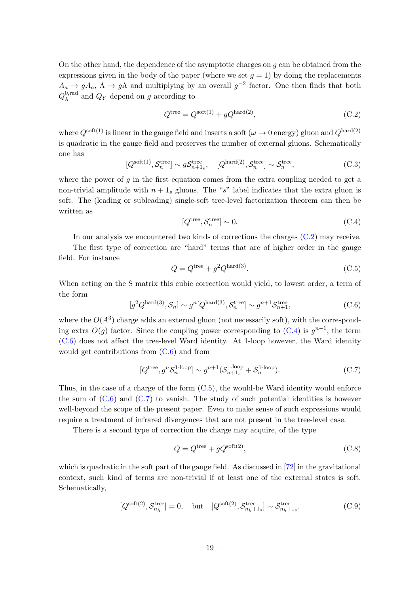On the other hand, the dependence of the asymptotic charges on  $q$  can be obtained from the expressions given in the body of the paper (where we set  $q = 1$ ) by doing the replacements  $A_a \to gA_a, \Lambda \to g\Lambda$  and multiplying by an overall  $g^{-2}$  factor. One then finds that both  $Q_\lambda^{0,\rm rad}$  $\lambda^{\alpha}$  and  $Q_Y$  depend on g according to

<span id="page-19-0"></span>
$$
Q^{\text{tree}} = Q^{\text{soft}(1)} + gQ^{\text{hard}(2)},\tag{C.2}
$$

where  $Q^{\text{soft}(1)}$  is linear in the gauge field and inserts a soft ( $\omega \to 0$  energy) gluon and  $Q^{\text{hard}(2)}$ is quadratic in the gauge field and preserves the number of external gluons. Schematically one has

$$
[Q^{\text{soft}(1)}, \mathcal{S}_n^{\text{tree}}] \sim g\mathcal{S}_{n+1_s}^{\text{tree}}, \quad [Q^{\text{hard}(2)}, \mathcal{S}_n^{\text{tree}}] \sim \mathcal{S}_n^{\text{tree}}, \tag{C.3}
$$

where the power of  $q$  in the first equation comes from the extra coupling needed to get a non-trivial amplitude with  $n + 1$ <sub>s</sub> gluons. The "s" label indicates that the extra gluon is soft. The (leading or subleading) single-soft tree-level factorization theorem can then be written as

<span id="page-19-1"></span>
$$
[Q^{\text{tree}}, \mathcal{S}_n^{\text{tree}}] \sim 0. \tag{C.4}
$$

In our analysis we encountered two kinds of corrections the charges [\(C.2\)](#page-19-0) may receive.

The first type of correction are "hard" terms that are of higher order in the gauge field. For instance

<span id="page-19-3"></span>
$$
Q = Q^{\text{tree}} + g^2 Q^{\text{hard}(3)}.
$$
\n(C.5)

When acting on the S matrix this cubic correction would yield, to lowest order, a term of the form

<span id="page-19-2"></span>
$$
[g^2 Q^{\text{hard}(3)}, \mathcal{S}_n] \sim g^n [Q^{\text{hard}(3)}, \mathcal{S}_n^{\text{tree}}] \sim g^{n+1} \mathcal{S}_{n+1}^{\text{tree}},
$$
\n(C.6)

where the  $O(A^3)$  charge adds an external gluon (not necessarily soft), with the corresponding extra  $O(g)$  factor. Since the coupling power corresponding to  $(C.4)$  is  $g^{n-1}$ , the term [\(C.6\)](#page-19-2) does not affect the tree-level Ward identity. At 1-loop however, the Ward identity would get contributions from  $(C.6)$  and from

<span id="page-19-4"></span>
$$
[Q^{\text{tree}}, g^n \mathcal{S}_n^{\text{1-loop}}] \sim g^{n+1} (\mathcal{S}_{n+1_s}^{\text{1-loop}} + \mathcal{S}_n^{\text{1-loop}}). \tag{C.7}
$$

Thus, in the case of a charge of the form [\(C.5\)](#page-19-3), the would-be Ward identity would enforce the sum of  $(C.6)$  and  $(C.7)$  to vanish. The study of such potential identities is however well-beyond the scope of the present paper. Even to make sense of such expressions would require a treatment of infrared divergences that are not present in the tree-level case.

There is a second type of correction the charge may acquire, of the type

<span id="page-19-5"></span>
$$
Q = Q^{\text{tree}} + gQ^{\text{soft}}(2),\tag{C.8}
$$

which is quadratic in the soft part of the gauge field. As discussed in [\[72\]](#page-28-3) in the gravitational context, such kind of terms are non-trivial if at least one of the external states is soft. Schematically,

$$
[Q^{\text{soft}(2)}, \mathcal{S}_{n_h}^{\text{tree}}] = 0, \quad \text{but} \quad [Q^{\text{soft}(2)}, \mathcal{S}_{n_h+1_s}^{\text{tree}}] \sim \mathcal{S}_{n_h+1_s}^{\text{tree}}.
$$
 (C.9)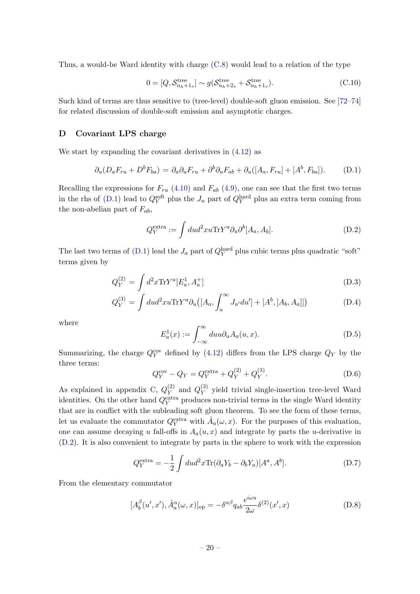Thus, a would-be Ward identity with charge [\(C.8\)](#page-19-5) would lead to a relation of the type

$$
0 = [Q, \mathcal{S}_{n_h+1_s}^{\text{tree}}] \sim g(\mathcal{S}_{n_h+2_s}^{\text{tree}} + \mathcal{S}_{n_h+1_s}^{\text{tree}}). \tag{C.10}
$$

Such kind of terms are thus sensitive to (tree-level) double-soft gluon emission. See [\[72–](#page-28-3)[74\]](#page-28-4) for related discussion of double-soft emission and asymptotic charges.

#### <span id="page-20-0"></span>D Covariant LPS charge

We start by expanding the covariant derivatives in  $(4.12)$  as

<span id="page-20-1"></span>
$$
\partial_u (D_a F_{ru} + D^b F_{ba}) = \partial_a \partial_u F_{ru} + \partial^b \partial_u F_{ab} + \partial_u ([A_a, F_{ru}] + [A^b, F_{ba}]). \tag{D.1}
$$

Recalling the expressions for  $F_{ru}$  [\(4.10\)](#page-10-4) and  $F_{ab}$  [\(4.9\)](#page-10-3), one can see that the first two terms in the rhs of [\(D.1\)](#page-20-1) lead to  $Q_Y^{\text{soft}}$  plus the  $J_u$  part of  $Q_Y^{\text{hard}}$  plus an extra term coming from the non-abelian part of  $F_{ab}$ ,

<span id="page-20-2"></span>
$$
Q_Y^{\text{extra}} := \int du d^2x u \text{Tr} Y^a \partial_u \partial^b [A_a, A_b]. \tag{D.2}
$$

The last two terms of  $(D.1)$  lead the  $J_a$  part of  $Q_Y^{\text{hard}}$  plus cubic terms plus quadratic "soft" terms given by

$$
Q_Y^{(2)} = \int d^2x \text{Tr} Y^a [E_a^1, A_a^+]
$$
 (D.3)

$$
Q_Y^{(3)} = \int du d^2x u \text{Tr} Y^a \partial_u \left( [A_a, \int_u^\infty J_{u'} du'] + [A^b, [A_b, A_a]] \right) \tag{D.4}
$$

where

$$
E_a^1(x) := \int_{-\infty}^{\infty} du u \partial_u A_a(u, x).
$$
 (D.5)

Summarizing, the charge  $Q_Y^{\text{cov}}$  defined by [\(4.12\)](#page-11-1) differs from the LPS charge  $Q_Y$  by the three terms:

$$
Q_Y^{\text{cov}} - Q_Y = Q_Y^{\text{extra}} + Q_Y^{(2)} + Q_Y^{(3)}.
$$
 (D.6)

As explained in appendix [C,](#page-18-2)  $Q_Y^{(2)}$  $\mathcal{Q}_Y^{(2)}$  and  $\mathcal{Q}_Y^{(3)}$  $_{Y}^{(5)}$  yield trivial single-insertion tree-level Ward identities. On the other hand  $Q_Y^{\text{extra}}$  produces non-trivial terms in the single Ward identity that are in conflict with the subleading soft gluon theorem. To see the form of these terms, let us evaluate the commutator  $Q_Y^{\text{extra}}$  with  $\hat{A}_a(\omega, x)$ . For the purposes of this evaluation, one can assume decaying u fall-offs in  $A_a(u, x)$  and integrate by parts the u-derivative in [\(D.2\)](#page-20-2). It is also convenient to integrate by parts in the sphere to work with the expression

$$
Q_Y^{\text{extra}} = -\frac{1}{2} \int du d^2x \text{Tr}(\partial_a Y_b - \partial_b Y_a) [A^a, A^b]. \tag{D.7}
$$

From the elementary commutator

$$
[A_b^{\beta}(u',x'), \hat{A}_a^{\alpha}(\omega, x)]_{\text{op}} = -\delta^{\alpha\beta} q_{ab} \frac{e^{i\omega u}}{2\omega} \delta^{(2)}(x', x)
$$
(D.8)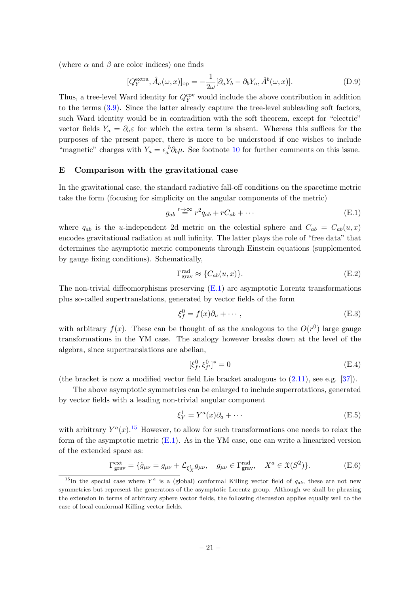(where  $\alpha$  and  $\beta$  are color indices) one finds

$$
[Q_Y^{\text{extra}}, \hat{A}_a(\omega, x)]_{\text{op}} = -\frac{1}{2\omega} [\partial_a Y_b - \partial_b Y_a, \hat{A}^b(\omega, x)]. \tag{D.9}
$$

Thus, a tree-level Ward identity for  $Q_Y^{\text{cov}}$  would include the above contribution in addition to the terms [\(3.9\)](#page-7-4). Since the latter already capture the tree-level subleading soft factors, such Ward identity would be in contradition with the soft theorem, except for "electric" vector fields  $Y_a = \partial_a \varepsilon$  for which the extra term is absent. Whereas this suffices for the purposes of the present paper, there is more to be understood if one wishes to include "magnetic" charges with  $Y_a = \epsilon_a^b \partial_b \mu$ . See footnote [10](#page-11-3) for further comments on this issue.

#### <span id="page-21-0"></span>E Comparison with the gravitational case

In the gravitational case, the standard radiative fall-off conditions on the spacetime metric take the form (focusing for simplicity on the angular components of the metric)

<span id="page-21-1"></span>
$$
g_{ab} \stackrel{r \to \infty}{=} r^2 q_{ab} + rC_{ab} + \cdots \tag{E.1}
$$

where  $q_{ab}$  is the u-independent 2d metric on the celestial sphere and  $C_{ab} = C_{ab}(u, x)$ encodes gravitational radiation at null infinity. The latter plays the role of "free data" that determines the asymptotic metric components through Einstein equations (supplemented by gauge fixing conditions). Schematically,

$$
\Gamma_{\text{grav}}^{\text{rad}} \approx \{ C_{ab}(u, x) \}. \tag{E.2}
$$

The non-trivial diffeomorphisms preserving  $(E.1)$  are asymptotic Lorentz transformations plus so-called supertranslations, generated by vector fields of the form

$$
\xi_f^0 = f(x)\partial_u + \cdots,\tag{E.3}
$$

with arbitrary  $f(x)$ . These can be thought of as the analogous to the  $O(r^0)$  large gauge transformations in the YM case. The analogy however breaks down at the level of the algebra, since supertranslations are abelian,

$$
[\xi_j^0, \xi_{f'}^0]^* = 0 \tag{E.4}
$$

(the bracket is now a modified vector field Lie bracket analogous to [\(2.11\)](#page-5-5), see e.g. [\[37\]](#page-26-8)).

The above asymptotic symmetries can be enlarged to include superrotations, generated by vector fields with a leading non-trivial angular component

<span id="page-21-4"></span>
$$
\xi_Y^1 = Y^a(x)\partial_a + \cdots \tag{E.5}
$$

with arbitrary  $Y^a(x)$ .<sup>[15](#page-21-2)</sup> However, to allow for such transformations one needs to relax the form of the asymptotic metric [\(E.1\)](#page-21-1). As in the YM case, one can write a linearized version of the extended space as:

<span id="page-21-3"></span>
$$
\Gamma_{\text{grav}}^{\text{ext}} = \{ \tilde{g}_{\mu\nu} = g_{\mu\nu} + \mathcal{L}_{\xi_X^1} g_{\mu\nu}, \quad g_{\mu\nu} \in \Gamma_{\text{grav}}^{\text{rad}}, \quad X^a \in \mathfrak{X}(S^2) \}. \tag{E.6}
$$

<span id="page-21-2"></span><sup>&</sup>lt;sup>15</sup>In the special case where  $Y^a$  is a (global) conformal Killing vector field of  $q_{ab}$ , these are not new symmetries but represent the generators of the asymptotic Lorentz group. Although we shall be phrasing the extension in terms of arbitrary sphere vector fields, the following discussion applies equally well to the case of local conformal Killing vector fields.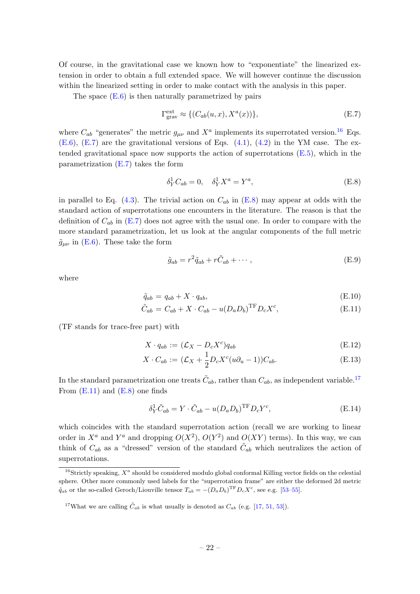Of course, in the gravitational case we known how to "exponentiate" the linearized extension in order to obtain a full extended space. We will however continue the discussion within the linearized setting in order to make contact with the analysis in this paper.

The space  $(E.6)$  is then naturally parametrized by pairs

<span id="page-22-1"></span>
$$
\Gamma_{\text{grav}}^{\text{ext}} \approx \{ (C_{ab}(u, x), X^a(x)) \},\tag{E.7}
$$

where  $C_{ab}$  "generates" the metric  $g_{\mu\nu}$  and  $X^a$  implements its superrotated version.<sup>[16](#page-22-0)</sup> Eqs.  $(E.6)$ ,  $(E.7)$  are the gravitational versions of Eqs.  $(4.1)$ ,  $(4.2)$  in the YM case. The extended gravitational space now supports the action of superrotations [\(E.5\)](#page-21-4), which in the parametrization  $(E.7)$  takes the form

<span id="page-22-2"></span>
$$
\delta_Y^1 C_{ab} = 0, \quad \delta_Y^1 X^a = Y^a,\tag{E.8}
$$

in parallel to Eq.  $(4.3)$ . The trivial action on  $C_{ab}$  in  $(E.8)$  may appear at odds with the standard action of superrotations one encounters in the literature. The reason is that the definition of  $C_{ab}$  in [\(E.7\)](#page-22-1) does not agree with the usual one. In order to compare with the more standard parametrization, let us look at the angular components of the full metric  $\tilde{g}_{\mu\nu}$  in [\(E.6\)](#page-21-3). These take the form

$$
\tilde{g}_{ab} = r^2 \tilde{q}_{ab} + r \tilde{C}_{ab} + \cdots, \qquad (E.9)
$$

where

<span id="page-22-4"></span>
$$
\tilde{q}_{ab} = q_{ab} + X \cdot q_{ab},\tag{E.10}
$$

$$
\tilde{C}_{ab} = C_{ab} + X \cdot C_{ab} - u(D_a D_b)^{\text{TF}} D_c X^c,
$$
\n(E.11)

(TF stands for trace-free part) with

$$
X \cdot q_{ab} := (\mathcal{L}_X - D_c X^c) q_{ab} \tag{E.12}
$$

$$
X \cdot C_{ab} := (\mathcal{L}_X + \frac{1}{2} D_c X^c (u\partial_u - 1)) C_{ab}.
$$
 (E.13)

In the standard parametrization one treats  $\tilde{C}_{ab}$ , rather than  $C_{ab}$ , as independent variable.<sup>[17](#page-22-3)</sup> From  $(E.11)$  and  $(E.8)$  one finds

$$
\delta_Y^1 \tilde{C}_{ab} = Y \cdot \tilde{C}_{ab} - u(D_a D_b)^{\text{TF}} D_c Y^c, \tag{E.14}
$$

which coincides with the standard superrotation action (recall we are working to linear order in  $X^a$  and  $Y^a$  and dropping  $O(X^2)$ ,  $O(Y^2)$  and  $O(XY)$  terms). In this way, we can think of  $C_{ab}$  as a "dressed" version of the standard  $\tilde{C}_{ab}$  which neutralizes the action of superrotations.

<span id="page-22-0"></span><sup>&</sup>lt;sup>16</sup>Strictly speaking,  $X^a$  should be considered modulo global conformal Killing vector fields on the celestial sphere. Other more commonly used labels for the "superrotation frame" are either the deformed 2d metric  $\tilde{q}_{ab}$  or the so-called Geroch/Liouville tensor  $T_{ab} = -(D_a D_b)^{\text{TF}} D_c X^c$ , see e.g. [\[53](#page-27-4)[–55\]](#page-27-5).

<span id="page-22-3"></span><sup>&</sup>lt;sup>17</sup>What we are calling  $\tilde{C}_{ab}$  is what usually is denoted as  $C_{ab}$  (e.g. [\[17,](#page-25-2) [51,](#page-27-2) [53\]](#page-27-4)).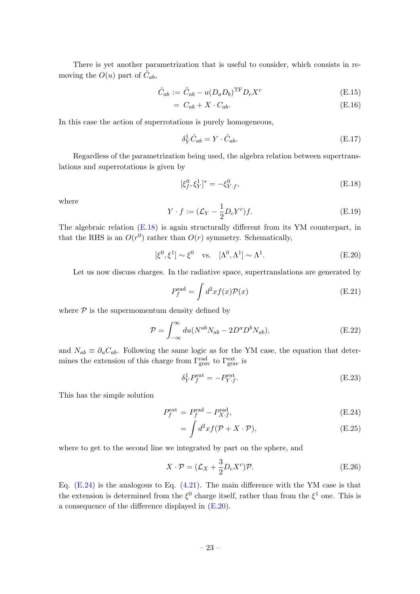There is yet another parametrization that is useful to consider, which consists in removing the  $O(u)$  part of  $\tilde{C}_{ab}$ ,

<span id="page-23-3"></span>
$$
\hat{C}_{ab} := \tilde{C}_{ab} - u(D_a D_b)^{\text{TF}} D_c X^c \tag{E.15}
$$

$$
= C_{ab} + X \cdot C_{ab}.\tag{E.16}
$$

In this case the action of superrotations is purely homogeneous,

$$
\delta_Y^1 \hat{C}_{ab} = Y \cdot \hat{C}_{ab}.\tag{E.17}
$$

Regardless of the parametrization being used, the algebra relation between supertranslations and superrotations is given by

<span id="page-23-0"></span>
$$
[\xi_f^0, \xi_Y^1]^* = -\xi_{Y \cdot f}^0,\tag{E.18}
$$

where

$$
Y \cdot f := (\mathcal{L}_Y - \frac{1}{2} D_c Y^c) f. \tag{E.19}
$$

The algebraic relation  $(E.18)$  is again structurally different from its YM counterpart, in that the RHS is an  $O(r^0)$  rather than  $O(r)$  symmetry. Schematically,

<span id="page-23-2"></span>
$$
[\xi^0, \xi^1] \sim \xi^0 \quad \text{vs.} \quad [\Lambda^0, \Lambda^1] \sim \Lambda^1. \tag{E.20}
$$

Let us now discuss charges. In the radiative space, supertranslations are generated by

$$
P_f^{\text{rad}} = \int d^2x f(x) \mathcal{P}(x) \tag{E.21}
$$

where  $P$  is the supermomentum density defined by

<span id="page-23-4"></span>
$$
\mathcal{P} = \int_{-\infty}^{\infty} du(N^{ab}N_{ab} - 2D^a D^b N_{ab}),
$$
 (E.22)

and  $N_{ab} \equiv \partial_u C_{ab}$ . Following the same logic as for the YM case, the equation that determines the extension of this charge from  $\Gamma_{\text{grav}}^{\text{rad}}$  to  $\Gamma_{\text{grav}}^{\text{ext}}$  is

$$
\delta_Y^1 P_f^{\text{ext}} = -P_{Y \cdot f}^{\text{ext}}.\tag{E.23}
$$

This has the simple solution

<span id="page-23-1"></span>
$$
P_f^{\text{ext}} = P_f^{\text{rad}} - P_{X \cdot f}^{\text{rad}},\tag{E.24}
$$

$$
= \int d^2x f(\mathcal{P} + X \cdot \mathcal{P}), \tag{E.25}
$$

where to get to the second line we integrated by part on the sphere, and

$$
X \cdot \mathcal{P} = (\mathcal{L}_X + \frac{3}{2} D_c X^c) \mathcal{P}.
$$
 (E.26)

Eq.  $(E.24)$  is the analogous to Eq.  $(4.21)$ . The main difference with the YM case is that the extension is determined from the  $\xi^0$  charge itself, rather than from the  $\xi^1$  one. This is a consequence of the difference displayed in [\(E.20\)](#page-23-2).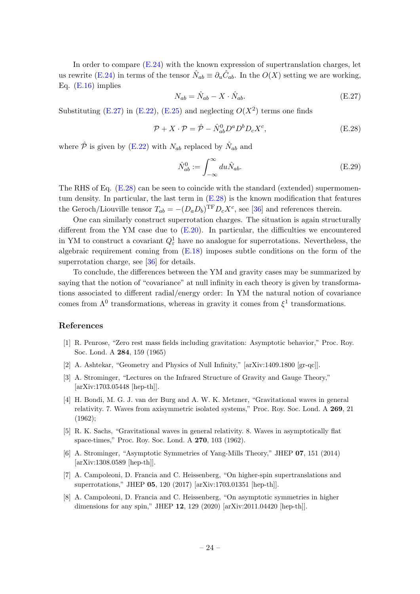In order to compare  $(E.24)$  with the known expression of supertranslation charges, let us rewrite [\(E.24\)](#page-23-1) in terms of the tensor  $\hat{N}_{ab} \equiv \partial_u \hat{C}_{ab}$ . In the  $O(X)$  setting we are working, Eq.  $(E.16)$  implies

<span id="page-24-7"></span>
$$
N_{ab} = \hat{N}_{ab} - X \cdot \hat{N}_{ab}.
$$
\n(E.27)

Substituting [\(E.27\)](#page-24-7) in [\(E.22\)](#page-23-4), [\(E.25\)](#page-23-1) and neglecting  $O(X^2)$  terms one finds

<span id="page-24-8"></span>
$$
\mathcal{P} + X \cdot \mathcal{P} = \hat{\mathcal{P}} - \hat{N}_{ab}^{0} D^{a} D^{b} D_{c} X^{c}, \tag{E.28}
$$

where  $\hat{\mathcal{P}}$  is given by [\(E.22\)](#page-23-4) with  $N_{ab}$  replaced by  $\hat{N}_{ab}$  and

$$
\hat{N}_{ab}^0 := \int_{-\infty}^{\infty} du \hat{N}_{ab}.
$$
\n(E.29)

The RHS of Eq. [\(E.28\)](#page-24-8) can be seen to coincide with the standard (extended) supermomentum density. In particular, the last term in [\(E.28\)](#page-24-8) is the known modification that features the Geroch/Liouville tensor  $T_{ab} = -(D_a D_b)^{\text{TF}} D_c X^c$ , see [\[36\]](#page-26-7) and references therein.

One can similarly construct superrotation charges. The situation is again structurally different from the YM case due to  $(E.20)$ . In particular, the difficulties we encountered in YM to construct a covariant  $Q_{\varepsilon}^1$  have no analogue for superrotations. Nevertheless, the algebraic requirement coming from [\(E.18\)](#page-23-0) imposes subtle conditions on the form of the superrotation charge, see [\[36\]](#page-26-7) for details.

To conclude, the differences between the YM and gravity cases may be summarized by saying that the notion of "covariance" at null infinity in each theory is given by transformations associated to different radial/energy order: In YM the natural notion of covariance comes from  $\Lambda^0$  transformations, whereas in gravity it comes from  $\xi^1$  transformations.

#### References

- <span id="page-24-0"></span>[1] R. Penrose, "Zero rest mass fields including gravitation: Asymptotic behavior," Proc. Roy. Soc. Lond. A 284, 159 (1965)
- [2] A. Ashtekar, "Geometry and Physics of Null Infinity," [arXiv:1409.1800 [gr-qc]].
- <span id="page-24-1"></span>[3] A. Strominger, "Lectures on the Infrared Structure of Gravity and Gauge Theory," [arXiv:1703.05448 [hep-th]].
- <span id="page-24-3"></span>[4] H. Bondi, M. G. J. van der Burg and A. W. K. Metzner, "Gravitational waves in general relativity. 7. Waves from axisymmetric isolated systems," Proc. Roy. Soc. Lond. A 269, 21 (1962);
- <span id="page-24-4"></span>[5] R. K. Sachs, "Gravitational waves in general relativity. 8. Waves in asymptotically flat space-times," Proc. Roy. Soc. Lond. A 270, 103 (1962).
- <span id="page-24-2"></span>[6] A. Strominger, "Asymptotic Symmetries of Yang-Mills Theory," JHEP 07, 151 (2014) [arXiv:1308.0589 [hep-th]].
- <span id="page-24-5"></span>[7] A. Campoleoni, D. Francia and C. Heissenberg, "On higher-spin supertranslations and superrotations," JHEP 05, 120 (2017) [arXiv:1703.01351 [hep-th]].
- <span id="page-24-6"></span>[8] A. Campoleoni, D. Francia and C. Heissenberg, "On asymptotic symmetries in higher dimensions for any spin," JHEP 12, 129 (2020) [arXiv:2011.04420 [hep-th]].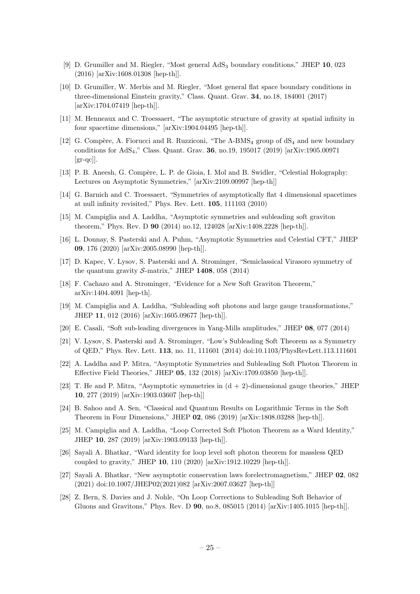- <span id="page-25-9"></span>[9] D. Grumiller and M. Riegler, "Most general AdS<sup>3</sup> boundary conditions," JHEP 10, 023 (2016) [arXiv:1608.01308 [hep-th]].
- [10] D. Grumiller, W. Merbis and M. Riegler, "Most general flat space boundary conditions in three-dimensional Einstein gravity," Class. Quant. Grav. 34, no.18, 184001 (2017) [arXiv:1704.07419 [hep-th]].
- [11] M. Henneaux and C. Troessaert, "The asymptotic structure of gravity at spatial infinity in four spacetime dimensions," [arXiv:1904.04495 [hep-th]].
- [12] G. Compère, A. Fiorucci and R. Ruzziconi, "The  $\Lambda$ -BMS<sub>4</sub> group of  $dS_4$  and new boundary conditions for AdS4," Class. Quant. Grav. 36, no.19, 195017 (2019) [arXiv:1905.00971  $\left[\text{gr-qc}\right]$ .
- <span id="page-25-10"></span>[13] P. B. Aneesh, G. Compère, L. P. de Gioia, I. Mol and B. Swidler, "Celestial Holography: Lectures on Asymptotic Symmetries," [arXiv:2109.00997 [hep-th]]
- <span id="page-25-0"></span>[14] G. Barnich and C. Troessaert, "Symmetries of asymptotically flat 4 dimensional spacetimes at null infinity revisited," Phys. Rev. Lett. 105, 111103 (2010)
- [15] M. Campiglia and A. Laddha, "Asymptotic symmetries and subleading soft graviton theorem," Phys. Rev. D 90 (2014) no.12, 124028 [arXiv:1408.2228 [hep-th]].
- <span id="page-25-1"></span>[16] L. Donnay, S. Pasterski and A. Puhm, "Asymptotic Symmetries and Celestial CFT," JHEP 09, 176 (2020) [arXiv:2005.08990 [hep-th]].
- <span id="page-25-2"></span>[17] D. Kapec, V. Lysov, S. Pasterski and A. Strominger, "Semiclassical Virasoro symmetry of the quantum gravity  $\mathcal{S}\text{-matrix}$ ," JHEP 1408, 058 (2014)
- <span id="page-25-3"></span>[18] F. Cachazo and A. Strominger, "Evidence for a New Soft Graviton Theorem," arXiv:1404.4091 [hep-th].
- <span id="page-25-4"></span>[19] M. Campiglia and A. Laddha, "Subleading soft photons and large gauge transformations," JHEP 11, 012 (2016) [arXiv:1605.09677 [hep-th]].
- <span id="page-25-5"></span>[20] E. Casali, "Soft sub-leading divergences in Yang-Mills amplitudes," JHEP 08, 077 (2014)
- <span id="page-25-6"></span>[21] V. Lysov, S. Pasterski and A. Strominger, "Low's Subleading Soft Theorem as a Symmetry of QED," Phys. Rev. Lett. 113, no. 11, 111601 (2014) doi:10.1103/PhysRevLett.113.111601
- <span id="page-25-7"></span>[22] A. Laddha and P. Mitra, "Asymptotic Symmetries and Subleading Soft Photon Theorem in Effective Field Theories," JHEP 05, 132 (2018) [arXiv:1709.03850 [hep-th]].
- <span id="page-25-8"></span>[23] T. He and P. Mitra, "Asymptotic symmetries in  $(d + 2)$ -dimensional gauge theories," JHEP 10, 277 (2019) [arXiv:1903.03607 [hep-th]]
- <span id="page-25-11"></span>[24] B. Sahoo and A. Sen, "Classical and Quantum Results on Logarithmic Terms in the Soft Theorem in Four Dimensions," JHEP 02, 086 (2019) [arXiv:1808.03288 [hep-th]].
- <span id="page-25-12"></span>[25] M. Campiglia and A. Laddha, "Loop Corrected Soft Photon Theorem as a Ward Identity," JHEP 10, 287 (2019) [arXiv:1903.09133 [hep-th]].
- <span id="page-25-15"></span>[26] Sayali A. Bhatkar, "Ward identity for loop level soft photon theorem for massless QED coupled to gravity," JHEP 10, 110 (2020) [arXiv:1912.10229 [hep-th]].
- <span id="page-25-13"></span>[27] Sayali A. Bhatkar, "New asymptotic conservation laws forelectromagnetism," JHEP 02, 082 (2021) doi:10.1007/JHEP02(2021)082 [arXiv:2007.03627 [hep-th]]
- <span id="page-25-14"></span>[28] Z. Bern, S. Davies and J. Nohle, "On Loop Corrections to Subleading Soft Behavior of Gluons and Gravitons," Phys. Rev. D 90, no.8, 085015 (2014) [arXiv:1405.1015 [hep-th]].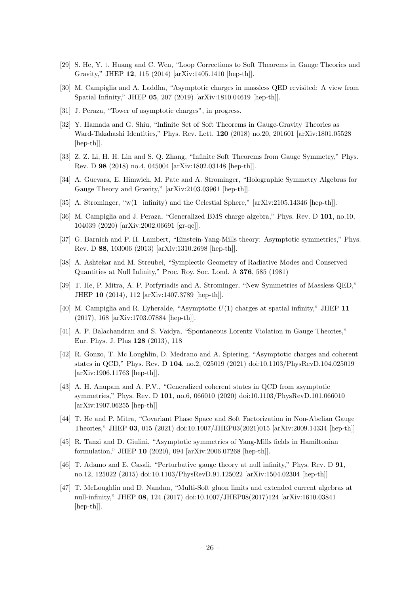- <span id="page-26-6"></span>[29] S. He, Y. t. Huang and C. Wen, "Loop Corrections to Soft Theorems in Gauge Theories and Gravity," JHEP 12, 115 (2014) [arXiv:1405.1410 [hep-th]].
- <span id="page-26-0"></span>[30] M. Campiglia and A. Laddha, "Asymptotic charges in massless QED revisited: A view from Spatial Infinity," JHEP 05, 207 (2019) [arXiv:1810.04619 [hep-th]].
- <span id="page-26-1"></span>[31] J. Peraza, "Tower of asymptotic charges", in progress.
- <span id="page-26-2"></span>[32] Y. Hamada and G. Shiu, "Infinite Set of Soft Theorems in Gauge-Gravity Theories as Ward-Takahashi Identities," Phys. Rev. Lett. 120 (2018) no.20, 201601 [arXiv:1801.05528 [hep-th]].
- <span id="page-26-3"></span>[33] Z. Z. Li, H. H. Lin and S. Q. Zhang, "Infinite Soft Theorems from Gauge Symmetry," Phys. Rev. D 98 (2018) no.4, 045004 [arXiv:1802.03148 [hep-th]].
- <span id="page-26-4"></span>[34] A. Guevara, E. Himwich, M. Pate and A. Strominger, "Holographic Symmetry Algebras for Gauge Theory and Gravity," [arXiv:2103.03961 [hep-th]].
- <span id="page-26-5"></span>[35] A. Strominger, "w(1+infinity) and the Celestial Sphere," [arXiv:2105.14346 [hep-th]].
- <span id="page-26-7"></span>[36] M. Campiglia and J. Peraza, "Generalized BMS charge algebra," Phys. Rev. D 101, no.10, 104039 (2020) [arXiv:2002.06691 [gr-qc]].
- <span id="page-26-8"></span>[37] G. Barnich and P. H. Lambert, "Einstein-Yang-Mills theory: Asymptotic symmetries," Phys. Rev. D 88, 103006 (2013) [arXiv:1310.2698 [hep-th]].
- <span id="page-26-9"></span>[38] A. Ashtekar and M. Streubel, "Symplectic Geometry of Radiative Modes and Conserved Quantities at Null Infinity," Proc. Roy. Soc. Lond. A 376, 585 (1981)
- <span id="page-26-10"></span>[39] T. He, P. Mitra, A. P. Porfyriadis and A. Strominger, "New Symmetries of Massless QED," JHEP 10 (2014), 112 [arXiv:1407.3789 [hep-th]].
- <span id="page-26-11"></span>[40] M. Campiglia and R. Eyheralde, "Asymptotic  $U(1)$  charges at spatial infinity," JHEP 11 (2017), 168 [arXiv:1703.07884 [hep-th]].
- <span id="page-26-12"></span>[41] A. P. Balachandran and S. Vaidya, "Spontaneous Lorentz Violation in Gauge Theories," Eur. Phys. J. Plus 128 (2013), 118
- [42] R. Gonzo, T. Mc Loughlin, D. Medrano and A. Spiering, "Asymptotic charges and coherent states in QCD," Phys. Rev. D 104, no.2, 025019 (2021) doi:10.1103/PhysRevD.104.025019 [arXiv:1906.11763 [hep-th]].
- [43] A. H. Anupam and A. P.V., "Generalized coherent states in QCD from asymptotic symmetries," Phys. Rev. D 101, no.6, 066010 (2020) doi:10.1103/PhysRevD.101.066010 [arXiv:1907.06255 [hep-th]]
- [44] T. He and P. Mitra, "Covariant Phase Space and Soft Factorization in Non-Abelian Gauge Theories," JHEP 03, 015 (2021) doi:10.1007/JHEP03(2021)015 [arXiv:2009.14334 [hep-th]]
- <span id="page-26-13"></span>[45] R. Tanzi and D. Giulini, "Asymptotic symmetries of Yang-Mills fields in Hamiltonian formulation," JHEP 10 (2020), 094 [arXiv:2006.07268 [hep-th]].
- <span id="page-26-14"></span>[46] T. Adamo and E. Casali, "Perturbative gauge theory at null infinity," Phys. Rev. D 91, no.12, 125022 (2015) doi:10.1103/PhysRevD.91.125022 [arXiv:1504.02304 [hep-th]]
- [47] T. McLoughlin and D. Nandan, "Multi-Soft gluon limits and extended current algebras at null-infinity," JHEP 08, 124 (2017) doi:10.1007/JHEP08(2017)124 [arXiv:1610.03841 [hep-th]].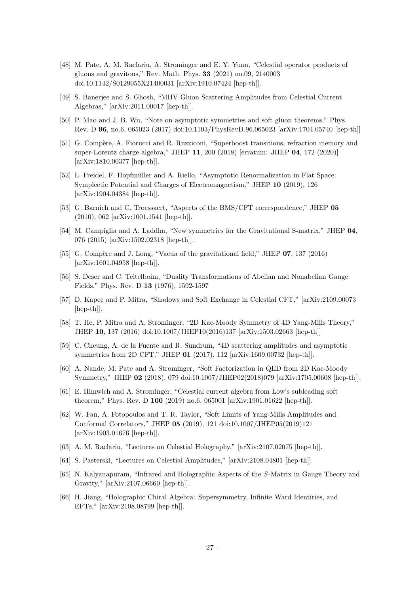- [48] M. Pate, A. M. Raclariu, A. Strominger and E. Y. Yuan, "Celestial operator products of gluons and gravitons," Rev. Math. Phys. 33 (2021) no.09, 2140003 doi:10.1142/S0129055X21400031 [arXiv:1910.07424 [hep-th]].
- <span id="page-27-0"></span>[49] S. Banerjee and S. Ghosh, "MHV Gluon Scattering Amplitudes from Celestial Current Algebras," [arXiv:2011.00017 [hep-th]].
- <span id="page-27-1"></span>[50] P. Mao and J. B. Wu, "Note on asymptotic symmetries and soft gluon theorems," Phys. Rev. D 96, no.6, 065023 (2017) doi:10.1103/PhysRevD.96.065023 [arXiv:1704.05740 [hep-th]]
- <span id="page-27-2"></span>[51] G. Compère, A. Fiorucci and R. Ruzziconi, "Superboost transitions, refraction memory and super-Lorentz charge algebra," JHEP 11, 200 (2018) [erratum: JHEP 04, 172 (2020)] [arXiv:1810.00377 [hep-th]].
- <span id="page-27-3"></span>[52] L. Freidel, F. Hopfmüller and A. Riello, "Asymptotic Renormalization in Flat Space: Symplectic Potential and Charges of Electromagnetism," JHEP 10 (2019), 126 [arXiv:1904.04384 [hep-th]].
- <span id="page-27-4"></span>[53] G. Barnich and C. Troessaert, "Aspects of the BMS/CFT correspondence," JHEP 05 (2010), 062 [arXiv:1001.1541 [hep-th]].
- [54] M. Campiglia and A. Laddha, "New symmetries for the Gravitational S-matrix," JHEP 04, 076 (2015) [arXiv:1502.02318 [hep-th]].
- <span id="page-27-5"></span>[55] G. Compère and J. Long, "Vacua of the gravitational field," JHEP  $07$ , 137 (2016) [arXiv:1601.04958 [hep-th]].
- <span id="page-27-6"></span>[56] S. Deser and C. Teitelboim, "Duality Transformations of Abelian and Nonabelian Gauge Fields," Phys. Rev. D 13 (1976), 1592-1597
- <span id="page-27-7"></span>[57] D. Kapec and P. Mitra, "Shadows and Soft Exchange in Celestial CFT," [arXiv:2109.00073 [hep-th]].
- <span id="page-27-8"></span>[58] T. He, P. Mitra and A. Strominger, "2D Kac-Moody Symmetry of 4D Yang-Mills Theory," JHEP 10, 137 (2016) doi:10.1007/JHEP10(2016)137 [arXiv:1503.02663 [hep-th]]
- [59] C. Cheung, A. de la Fuente and R. Sundrum, "4D scattering amplitudes and asymptotic symmetries from 2D CFT," JHEP 01 (2017), 112 [arXiv:1609.00732 [hep-th]].
- [60] A. Nande, M. Pate and A. Strominger, "Soft Factorization in QED from 2D Kac-Moody Symmetry," JHEP 02 (2018), 079 doi:10.1007/JHEP02(2018)079 [arXiv:1705.00608 [hep-th]].
- [61] E. Himwich and A. Strominger, "Celestial current algebra from Low's subleading soft theorem," Phys. Rev. D 100 (2019) no.6, 065001 [arXiv:1901.01622 [hep-th]].
- [62] W. Fan, A. Fotopoulos and T. R. Taylor, "Soft Limits of Yang-Mills Amplitudes and Conformal Correlators," JHEP 05 (2019), 121 doi:10.1007/JHEP05(2019)121 [arXiv:1903.01676 [hep-th]].
- [63] A. M. Raclariu, "Lectures on Celestial Holography," [arXiv:2107.02075 [hep-th]].
- [64] S. Pasterski, "Lectures on Celestial Amplitudes," [arXiv:2108.04801 [hep-th]].
- <span id="page-27-9"></span>[65] N. Kalyanapuram, "Infrared and Holographic Aspects of the S-Matrix in Gauge Theory and Gravity," [arXiv:2107.06660 [hep-th]].
- <span id="page-27-10"></span>[66] H. Jiang, "Holographic Chiral Algebra: Supersymmetry, Infinite Ward Identities, and EFTs," [arXiv:2108.08799 [hep-th]].